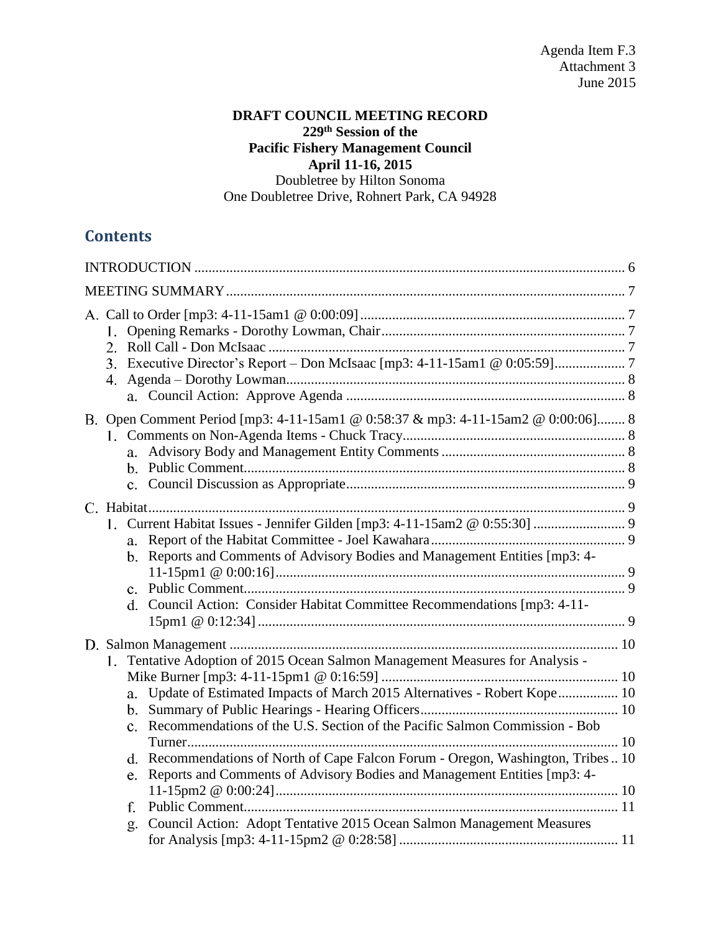# **DRAFT COUNCIL MEETING RECORD 229th Session of the Pacific Fishery Management Council April 11-16, 2015** Doubletree by Hilton Sonoma

One Doubletree Drive, Rohnert Park, CA 94928

# **Contents**

| B. Open Comment Period [mp3: 4-11-15am1 @ 0:58:37 & mp3: 4-11-15am2 @ 0:00:06] 8                                                                                                                                                                                                                                                                                                                                                                                                                        |  |
|---------------------------------------------------------------------------------------------------------------------------------------------------------------------------------------------------------------------------------------------------------------------------------------------------------------------------------------------------------------------------------------------------------------------------------------------------------------------------------------------------------|--|
| b. Reports and Comments of Advisory Bodies and Management Entities [mp3: 4-<br>d. Council Action: Consider Habitat Committee Recommendations [mp3: 4-11-                                                                                                                                                                                                                                                                                                                                                |  |
| 1. Tentative Adoption of 2015 Ocean Salmon Management Measures for Analysis -<br>a. Update of Estimated Impacts of March 2015 Alternatives - Robert Kope 10<br>c. Recommendations of the U.S. Section of the Pacific Salmon Commission - Bob<br>d. Recommendations of North of Cape Falcon Forum - Oregon, Washington, Tribes 10<br>Reports and Comments of Advisory Bodies and Management Entities [mp3: 4-<br>e.<br>f.<br>Council Action: Adopt Tentative 2015 Ocean Salmon Management Measures<br>g. |  |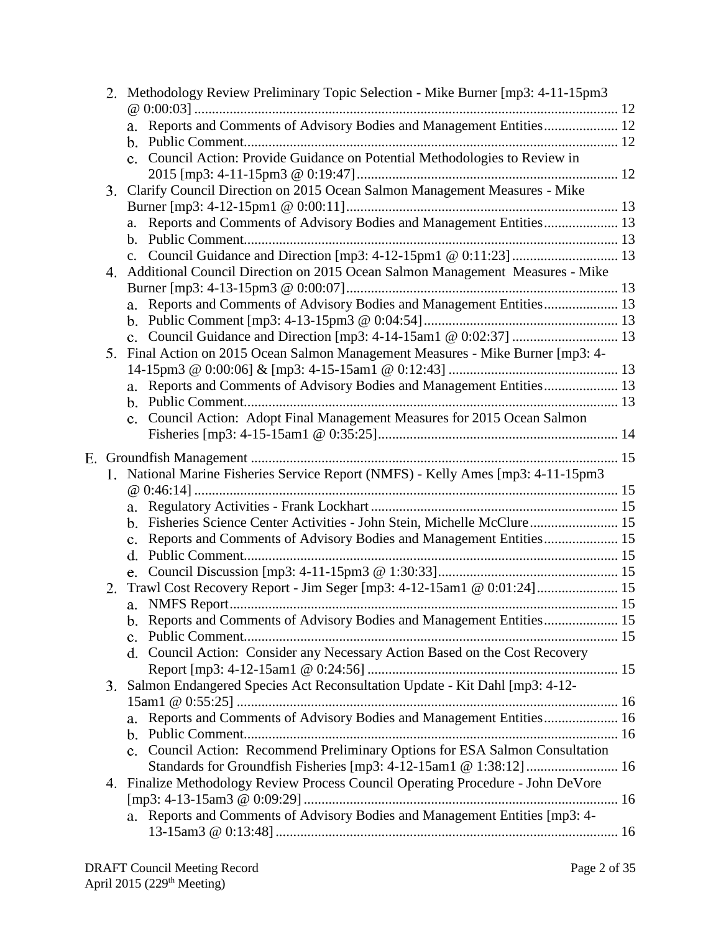|    |    | 2. Methodology Review Preliminary Topic Selection - Mike Burner [mp3: 4-11-15pm3        |  |
|----|----|-----------------------------------------------------------------------------------------|--|
|    |    | Reports and Comments of Advisory Bodies and Management Entities 12                      |  |
|    |    |                                                                                         |  |
|    |    | c. Council Action: Provide Guidance on Potential Methodologies to Review in             |  |
|    |    |                                                                                         |  |
|    |    | 3. Clarify Council Direction on 2015 Ocean Salmon Management Measures - Mike            |  |
|    |    |                                                                                         |  |
|    |    | a. Reports and Comments of Advisory Bodies and Management Entities 13                   |  |
|    |    |                                                                                         |  |
|    |    |                                                                                         |  |
|    |    | 4. Additional Council Direction on 2015 Ocean Salmon Management Measures - Mike         |  |
|    |    | a. Reports and Comments of Advisory Bodies and Management Entities 13                   |  |
|    |    |                                                                                         |  |
|    |    |                                                                                         |  |
|    |    | 5. Final Action on 2015 Ocean Salmon Management Measures - Mike Burner [mp3: 4-         |  |
|    |    |                                                                                         |  |
|    |    | a. Reports and Comments of Advisory Bodies and Management Entities 13                   |  |
|    |    |                                                                                         |  |
|    |    | Council Action: Adopt Final Management Measures for 2015 Ocean Salmon<br>$\mathbf{c}$ . |  |
|    |    |                                                                                         |  |
| Е. |    |                                                                                         |  |
|    |    | 1. National Marine Fisheries Service Report (NMFS) - Kelly Ames [mp3: 4-11-15pm3        |  |
|    |    |                                                                                         |  |
|    |    |                                                                                         |  |
|    |    | b. Fisheries Science Center Activities - John Stein, Michelle McClure 15                |  |
|    |    | Reports and Comments of Advisory Bodies and Management Entities 15<br>$\mathbf{c}$ .    |  |
|    |    | d.                                                                                      |  |
|    |    |                                                                                         |  |
|    | 2. | Trawl Cost Recovery Report - Jim Seger [mp3: 4-12-15am1 @ 0:01:24] 15                   |  |
|    |    |                                                                                         |  |
|    |    |                                                                                         |  |
|    |    | d. Council Action: Consider any Necessary Action Based on the Cost Recovery             |  |
|    |    |                                                                                         |  |
|    |    | 3. Salmon Endangered Species Act Reconsultation Update - Kit Dahl [mp3: 4-12-           |  |
|    |    |                                                                                         |  |
|    |    | Reports and Comments of Advisory Bodies and Management Entities 16<br>a.                |  |
|    |    | $b_{-}$                                                                                 |  |
|    |    | c. Council Action: Recommend Preliminary Options for ESA Salmon Consultation            |  |
|    |    | Standards for Groundfish Fisheries [mp3: 4-12-15am1 @ 1:38:12] 16                       |  |
|    |    | 4. Finalize Methodology Review Process Council Operating Procedure - John DeVore        |  |
|    |    |                                                                                         |  |
|    |    | a. Reports and Comments of Advisory Bodies and Management Entities [mp3: 4-             |  |
|    |    |                                                                                         |  |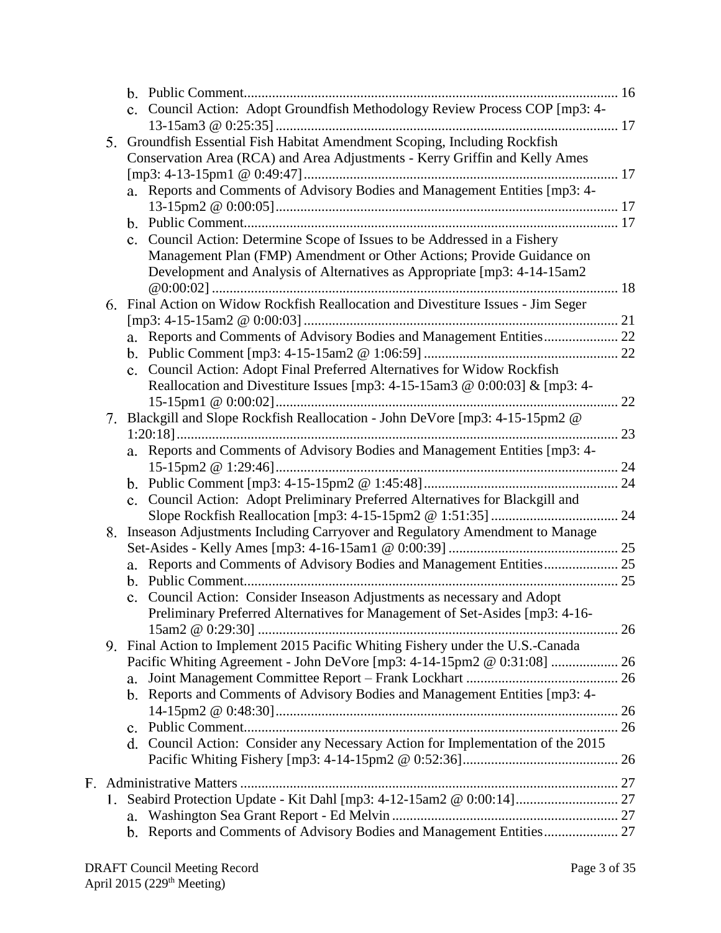|    |             | c. Council Action: Adopt Groundfish Methodology Review Process COP [mp3: 4-       |    |
|----|-------------|-----------------------------------------------------------------------------------|----|
|    |             |                                                                                   |    |
|    |             | 5. Groundfish Essential Fish Habitat Amendment Scoping, Including Rockfish        |    |
|    |             | Conservation Area (RCA) and Area Adjustments - Kerry Griffin and Kelly Ames       |    |
|    |             |                                                                                   |    |
|    |             | a. Reports and Comments of Advisory Bodies and Management Entities [mp3: 4-       |    |
|    |             |                                                                                   |    |
|    |             |                                                                                   |    |
|    |             | c. Council Action: Determine Scope of Issues to be Addressed in a Fishery         |    |
|    |             | Management Plan (FMP) Amendment or Other Actions; Provide Guidance on             |    |
|    |             | Development and Analysis of Alternatives as Appropriate [mp3: 4-14-15am2          |    |
|    |             |                                                                                   |    |
|    |             | 6. Final Action on Widow Rockfish Reallocation and Divestiture Issues - Jim Seger |    |
|    |             |                                                                                   |    |
|    |             | a. Reports and Comments of Advisory Bodies and Management Entities 22             |    |
|    |             |                                                                                   |    |
|    |             | c. Council Action: Adopt Final Preferred Alternatives for Widow Rockfish          |    |
|    |             | Reallocation and Divestiture Issues [mp3: 4-15-15am3 @ 0:00:03] & [mp3: 4-        |    |
|    |             |                                                                                   | 22 |
| 7. |             | Blackgill and Slope Rockfish Reallocation - John DeVore [mp3: 4-15-15pm2 @        |    |
|    |             |                                                                                   |    |
|    |             | a. Reports and Comments of Advisory Bodies and Management Entities [mp3: 4-       |    |
|    |             |                                                                                   |    |
|    |             |                                                                                   |    |
|    |             | c. Council Action: Adopt Preliminary Preferred Alternatives for Blackgill and     |    |
|    |             |                                                                                   |    |
| 8. |             | Inseason Adjustments Including Carryover and Regulatory Amendment to Manage       |    |
|    |             |                                                                                   |    |
|    | a.          |                                                                                   |    |
|    |             | c. Council Action: Consider Inseason Adjustments as necessary and Adopt           |    |
|    |             | Preliminary Preferred Alternatives for Management of Set-Asides [mp3: 4-16-       |    |
|    |             |                                                                                   |    |
|    |             | 9. Final Action to Implement 2015 Pacific Whiting Fishery under the U.S.-Canada   |    |
|    |             | Pacific Whiting Agreement - John DeVore [mp3: 4-14-15pm2 @ 0:31:08]  26           |    |
|    | a.          |                                                                                   |    |
|    | $b_{\cdot}$ | Reports and Comments of Advisory Bodies and Management Entities [mp3: 4-          |    |
|    |             |                                                                                   |    |
|    |             |                                                                                   |    |
|    |             | d. Council Action: Consider any Necessary Action for Implementation of the 2015   |    |
|    |             |                                                                                   |    |
|    |             |                                                                                   |    |
|    |             |                                                                                   |    |
|    |             | 1. Seabird Protection Update - Kit Dahl [mp3: 4-12-15am2 @ 0:00:14] 27            |    |
|    | a.          |                                                                                   |    |
|    |             | b. Reports and Comments of Advisory Bodies and Management Entities 27             |    |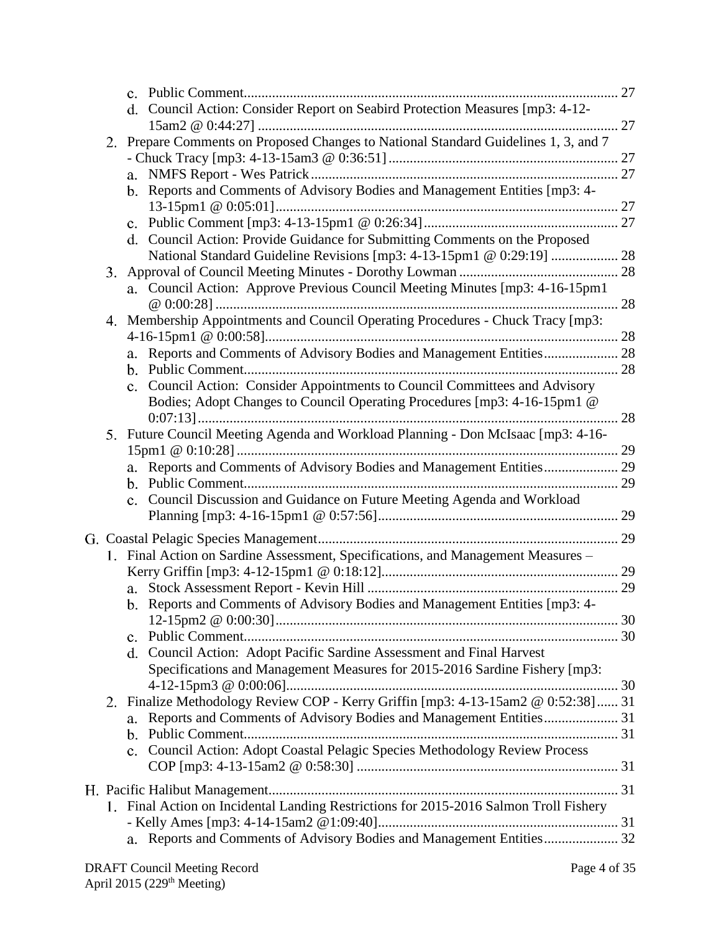|    | d. Council Action: Consider Report on Seabird Protection Measures [mp3: 4-12-         |    |
|----|---------------------------------------------------------------------------------------|----|
|    |                                                                                       |    |
|    | 2. Prepare Comments on Proposed Changes to National Standard Guidelines 1, 3, and 7   |    |
|    |                                                                                       |    |
|    |                                                                                       |    |
|    | b. Reports and Comments of Advisory Bodies and Management Entities [mp3: 4-           |    |
|    |                                                                                       |    |
|    | d. Council Action: Provide Guidance for Submitting Comments on the Proposed           |    |
|    |                                                                                       |    |
| 3. |                                                                                       |    |
|    | a. Council Action: Approve Previous Council Meeting Minutes [mp3: 4-16-15pm1          |    |
|    | 4. Membership Appointments and Council Operating Procedures - Chuck Tracy [mp3:       |    |
|    |                                                                                       |    |
|    | Reports and Comments of Advisory Bodies and Management Entities 28                    |    |
|    |                                                                                       |    |
|    | c. Council Action: Consider Appointments to Council Committees and Advisory           |    |
|    | Bodies; Adopt Changes to Council Operating Procedures [mp3: 4-16-15pm1 @              |    |
|    |                                                                                       | 28 |
| 5. | Future Council Meeting Agenda and Workload Planning - Don McIsaac [mp3: 4-16-         |    |
|    |                                                                                       |    |
|    | a. Reports and Comments of Advisory Bodies and Management Entities 29                 |    |
|    |                                                                                       |    |
|    | c. Council Discussion and Guidance on Future Meeting Agenda and Workload              |    |
|    |                                                                                       |    |
|    |                                                                                       |    |
|    | 1. Final Action on Sardine Assessment, Specifications, and Management Measures -      |    |
|    |                                                                                       |    |
|    |                                                                                       |    |
|    | b. Reports and Comments of Advisory Bodies and Management Entities [mp3: 4-           |    |
|    |                                                                                       |    |
|    | $\mathbf{c}$ .                                                                        |    |
|    | Council Action: Adopt Pacific Sardine Assessment and Final Harvest<br>d.              |    |
|    | Specifications and Management Measures for 2015-2016 Sardine Fishery [mp3:            |    |
|    | 2. Finalize Methodology Review COP - Kerry Griffin [mp3: 4-13-15am2 @ 0:52:38] 31     |    |
|    | Reports and Comments of Advisory Bodies and Management Entities 31<br>a.              |    |
|    |                                                                                       |    |
|    | c. Council Action: Adopt Coastal Pelagic Species Methodology Review Process           |    |
|    |                                                                                       |    |
|    |                                                                                       |    |
|    |                                                                                       |    |
|    | 1. Final Action on Incidental Landing Restrictions for 2015-2016 Salmon Troll Fishery |    |
|    |                                                                                       |    |
|    | a. Reports and Comments of Advisory Bodies and Management Entities 32                 |    |
|    |                                                                                       |    |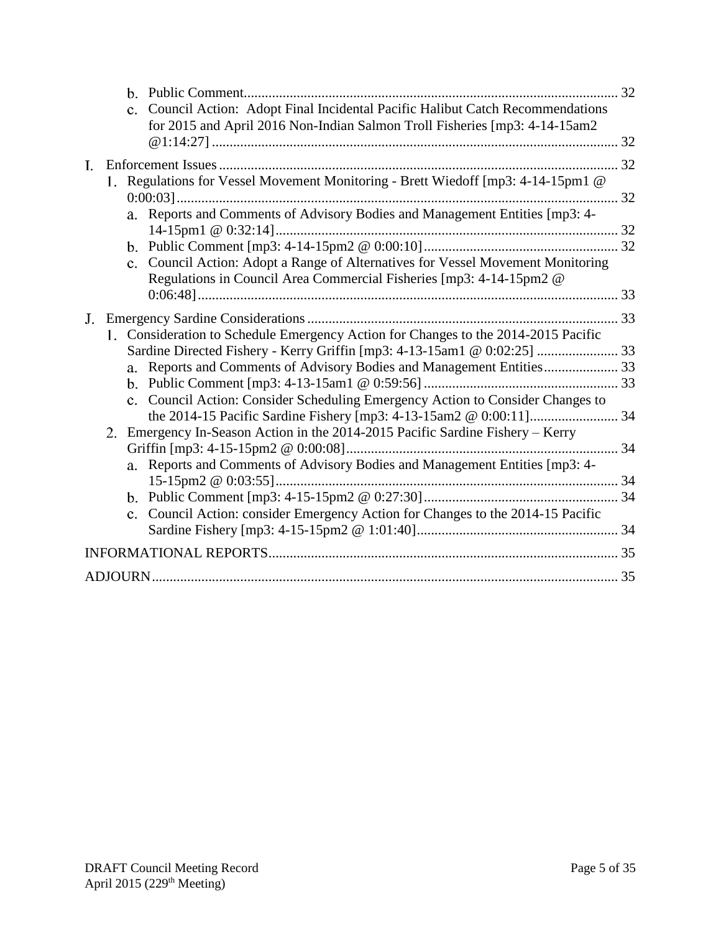|                                                                                    | 32 |
|------------------------------------------------------------------------------------|----|
| c. Council Action: Adopt Final Incidental Pacific Halibut Catch Recommendations    |    |
| for 2015 and April 2016 Non-Indian Salmon Troll Fisheries [mp3: 4-14-15am2         |    |
|                                                                                    |    |
| L.                                                                                 |    |
| 1. Regulations for Vessel Movement Monitoring - Brett Wiedoff [mp3: 4-14-15pm1 @   |    |
|                                                                                    |    |
| Reports and Comments of Advisory Bodies and Management Entities [mp3: 4-<br>a.     |    |
|                                                                                    |    |
| c. Council Action: Adopt a Range of Alternatives for Vessel Movement Monitoring    |    |
| Regulations in Council Area Commercial Fisheries [mp3: 4-14-15pm2 @                |    |
|                                                                                    |    |
| $J_{-}$                                                                            |    |
| 1. Consideration to Schedule Emergency Action for Changes to the 2014-2015 Pacific |    |
|                                                                                    |    |
|                                                                                    |    |
|                                                                                    |    |
| c. Council Action: Consider Scheduling Emergency Action to Consider Changes to     |    |
|                                                                                    |    |
| Emergency In-Season Action in the 2014-2015 Pacific Sardine Fishery - Kerry<br>2.  |    |
|                                                                                    |    |
| a. Reports and Comments of Advisory Bodies and Management Entities [mp3: 4-        |    |
|                                                                                    |    |
| c. Council Action: consider Emergency Action for Changes to the 2014-15 Pacific    |    |
|                                                                                    |    |
|                                                                                    |    |
|                                                                                    |    |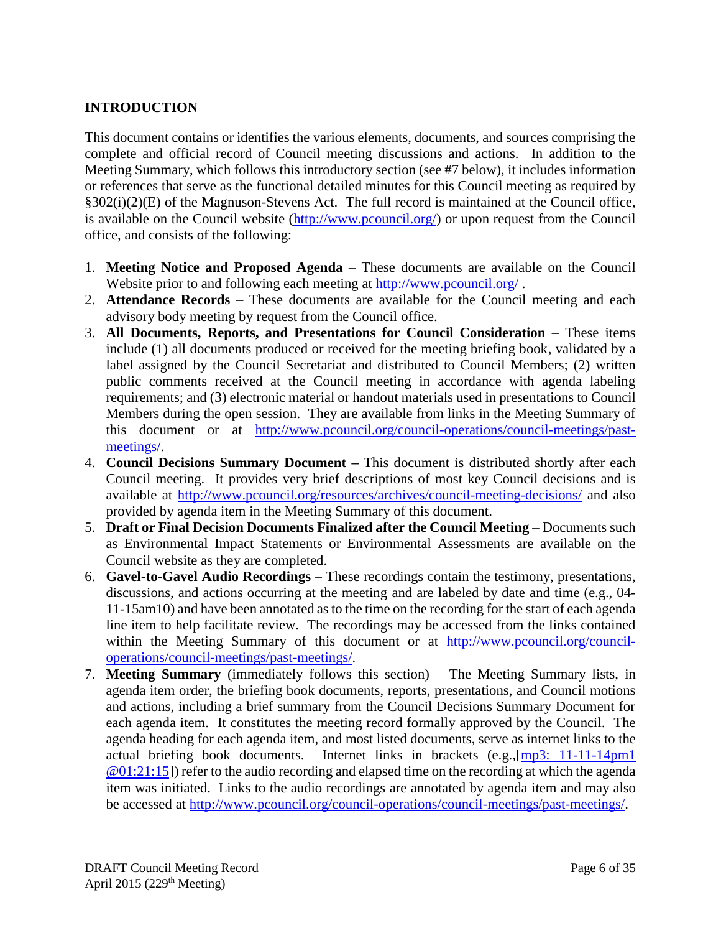# <span id="page-5-0"></span>**INTRODUCTION**

This document contains or identifies the various elements, documents, and sources comprising the complete and official record of Council meeting discussions and actions. In addition to the Meeting Summary, which follows this introductory section (see #7 below), it includes information or references that serve as the functional detailed minutes for this Council meeting as required by §302(i)(2)(E) of the Magnuson-Stevens Act. The full record is maintained at the Council office, is available on the Council website [\(http://www.pcouncil.org/\)](http://www.pcouncil.org/) or upon request from the Council office, and consists of the following:

- 1. **Meeting Notice and Proposed Agenda** These documents are available on the Council Website prior to and following each meeting at<http://www.pcouncil.org/>.
- 2. **Attendance Records** These documents are available for the Council meeting and each advisory body meeting by request from the Council office.
- 3. **All Documents, Reports, and Presentations for Council Consideration** These items include (1) all documents produced or received for the meeting briefing book, validated by a label assigned by the Council Secretariat and distributed to Council Members; (2) written public comments received at the Council meeting in accordance with agenda labeling requirements; and (3) electronic material or handout materials used in presentations to Council Members during the open session. They are available from links in the Meeting Summary of this document or at [http://www.pcouncil.org/council-operations/council-meetings/past](http://www.pcouncil.org/council-operations/council-meetings/past-meetings/)[meetings/.](http://www.pcouncil.org/council-operations/council-meetings/past-meetings/)
- 4. **Council Decisions Summary Document –** This document is distributed shortly after each Council meeting. It provides very brief descriptions of most key Council decisions and is available at<http://www.pcouncil.org/resources/archives/council-meeting-decisions/> and also provided by agenda item in the Meeting Summary of this document.
- 5. **Draft or Final Decision Documents Finalized after the Council Meeting** Documents such as Environmental Impact Statements or Environmental Assessments are available on the Council website as they are completed.
- 6. **Gavel-to-Gavel Audio Recordings** These recordings contain the testimony, presentations, discussions, and actions occurring at the meeting and are labeled by date and time (e.g., 04- 11-15am10) and have been annotated as to the time on the recording for the start of each agenda line item to help facilitate review. The recordings may be accessed from the links contained within the Meeting Summary of this document or at [http://www.pcouncil.org/council](http://www.pcouncil.org/council-operations/council-meetings/past-meetings/)[operations/council-meetings/past-meetings/.](http://www.pcouncil.org/council-operations/council-meetings/past-meetings/)
- 7. **Meeting Summary** (immediately follows this section) The Meeting Summary lists, in agenda item order, the briefing book documents, reports, presentations, and Council motions and actions, including a brief summary from the Council Decisions Summary Document for each agenda item. It constitutes the meeting record formally approved by the Council. The agenda heading for each agenda item, and most listed documents, serve as internet links to the actual briefing book documents. Internet links in brackets (e.g.,[\[mp3: 11-11-14pm1](ftp://ftp.pcouncil.org/pub/R1411_November_2014_Recordings/11-14-14pm1Copy.mp3) @01:21:15]) refer to the audio recording and elapsed time on the recording at which the agenda item was initiated. Links to the audio recordings are annotated by agenda item and may also be accessed at [http://www.pcouncil.org/council-operations/council-meetings/past-meetings/.](http://www.pcouncil.org/council-operations/council-meetings/past-meetings/)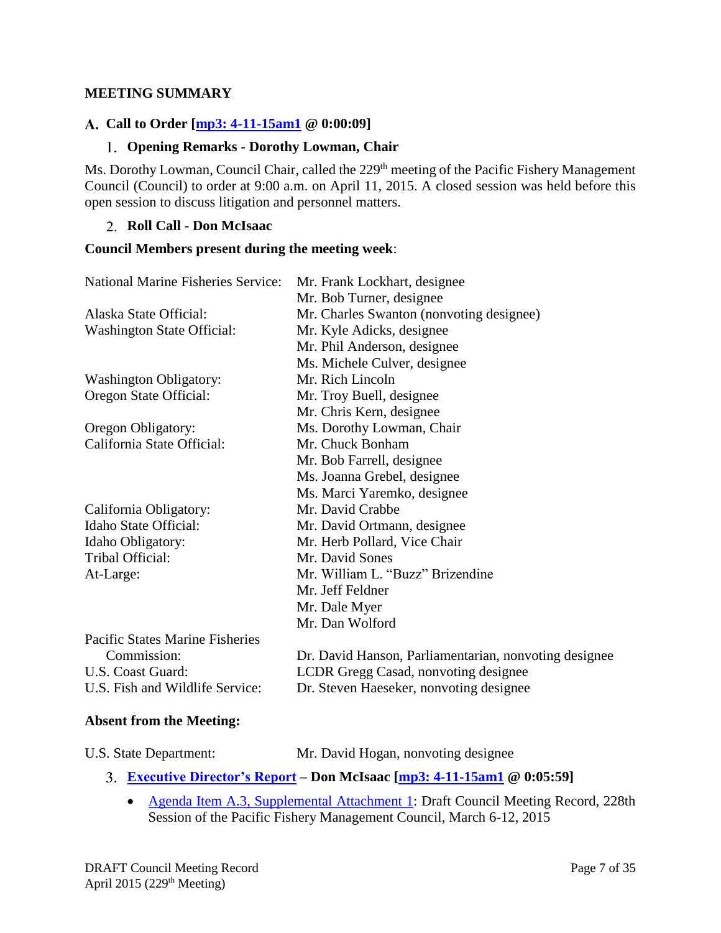### <span id="page-6-0"></span>**MEETING SUMMARY**

### <span id="page-6-1"></span>**Call to Order [\[mp3: 4-11-15am1](ftp://ftp.pcouncil.org/pub/R1504_April_2015_Recordings/4-11-15am1Copy.mp3) @ 0:00:09]**

### **Opening Remarks - Dorothy Lowman, Chair**

<span id="page-6-2"></span>Ms. Dorothy Lowman, Council Chair, called the 229<sup>th</sup> meeting of the Pacific Fishery Management Council (Council) to order at 9:00 a.m. on April 11, 2015. A closed session was held before this open session to discuss litigation and personnel matters.

#### <span id="page-6-3"></span>**Roll Call - Don McIsaac**

#### **Council Members present during the meeting week**:

| <b>National Marine Fisheries Service:</b> | Mr. Frank Lockhart, designee                          |
|-------------------------------------------|-------------------------------------------------------|
|                                           | Mr. Bob Turner, designee                              |
| Alaska State Official:                    | Mr. Charles Swanton (nonvoting designee)              |
| <b>Washington State Official:</b>         | Mr. Kyle Adicks, designee                             |
|                                           | Mr. Phil Anderson, designee                           |
|                                           | Ms. Michele Culver, designee                          |
| <b>Washington Obligatory:</b>             | Mr. Rich Lincoln                                      |
| Oregon State Official:                    | Mr. Troy Buell, designee                              |
|                                           | Mr. Chris Kern, designee                              |
| Oregon Obligatory:                        | Ms. Dorothy Lowman, Chair                             |
| California State Official:                | Mr. Chuck Bonham                                      |
|                                           | Mr. Bob Farrell, designee                             |
|                                           | Ms. Joanna Grebel, designee                           |
|                                           | Ms. Marci Yaremko, designee                           |
| California Obligatory:                    | Mr. David Crabbe                                      |
| Idaho State Official:                     | Mr. David Ortmann, designee                           |
| Idaho Obligatory:                         | Mr. Herb Pollard, Vice Chair                          |
| Tribal Official:                          | Mr. David Sones                                       |
| At-Large:                                 | Mr. William L. "Buzz" Brizendine                      |
|                                           | Mr. Jeff Feldner                                      |
|                                           | Mr. Dale Myer                                         |
|                                           | Mr. Dan Wolford                                       |
| <b>Pacific States Marine Fisheries</b>    |                                                       |
| Commission:                               | Dr. David Hanson, Parliamentarian, nonvoting designee |
| U.S. Coast Guard:                         | LCDR Gregg Casad, nonvoting designee                  |
|                                           |                                                       |

U.S. Fish and Wildlife Service: Dr. Steven Haeseker, nonvoting designee

#### **Absent from the Meeting:**

| Mr. David Hogan, nonvoting designee |
|-------------------------------------|
|                                     |

- <span id="page-6-4"></span>**[Executive Director's Report](http://www.pcouncil.org/wp-content/uploads/2015/04/A3_SupSitSum_EDsRpt_APR2015BB.pdf) – Don McIsaac [\[mp3: 4-11-15am1](ftp://ftp.pcouncil.org/pub/R1504_April_2015_Recordings/4-11-15am1Copy.mp3) @ 0:05:59]**
	- [Agenda Item A.3, Supplemental Attachment 1:](http://www.pcouncil.org/wp-content/uploads/2015/04/A3_SupAtt1_DraftMar2015Minutes_APR2015BB.pdf) Draft Council Meeting Record, 228th Session of the Pacific Fishery Management Council, March 6-12, 2015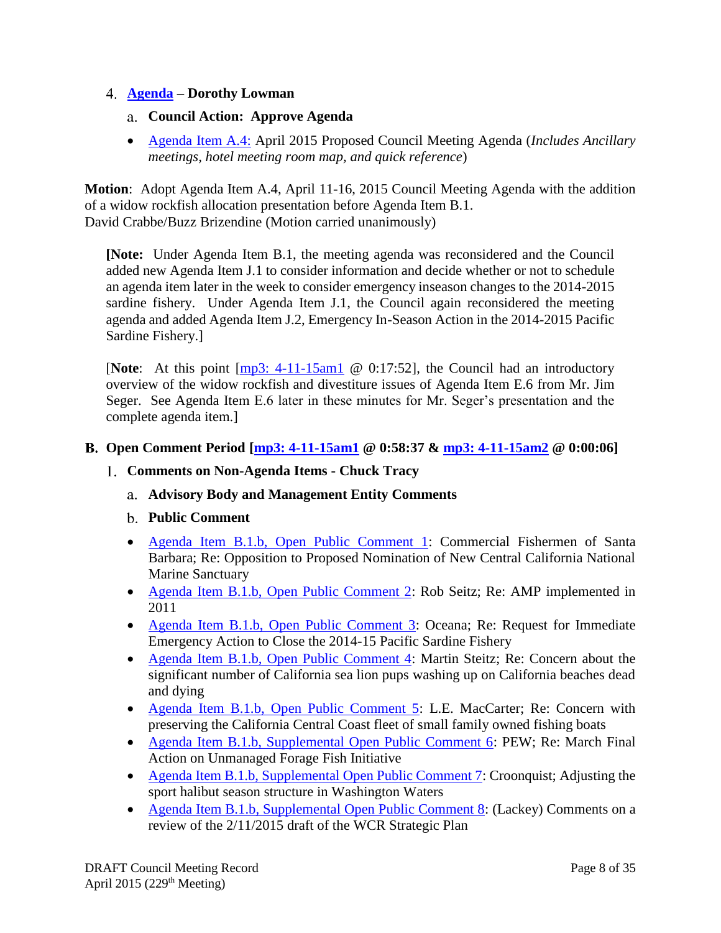### <span id="page-7-1"></span><span id="page-7-0"></span>**[Agenda](http://www.pcouncil.org/wp-content/uploads/2015/03/A4_Agenda_APR2015BB.pdf) – Dorothy Lowman**

- **Council Action: Approve Agenda**
- [Agenda Item A.4:](http://www.pcouncil.org/wp-content/uploads/2015/03/A4_Agenda_APR2015BB.pdf) April 2015 Proposed Council Meeting Agenda (*Includes Ancillary meetings, hotel meeting room map, and quick reference*)

**Motion**: Adopt Agenda Item A.4, April 11-16, 2015 Council Meeting Agenda with the addition of a widow rockfish allocation presentation before Agenda Item B.1. David Crabbe/Buzz Brizendine (Motion carried unanimously)

**[Note:** Under Agenda Item B.1, the meeting agenda was reconsidered and the Council added new Agenda Item J.1 to consider information and decide whether or not to schedule an agenda item later in the week to consider emergency inseason changes to the 2014-2015 sardine fishery. Under Agenda Item J.1, the Council again reconsidered the meeting agenda and added Agenda Item J.2, Emergency In-Season Action in the 2014-2015 Pacific Sardine Fishery.]

[**Note**: At this point [\[mp3: 4-11-15am1](ftp://ftp.pcouncil.org/pub/R1504_April_2015_Recordings/4-11-15am1Copy.mp3) @ 0:17:52], the Council had an introductory overview of the widow rockfish and divestiture issues of Agenda Item E.6 from Mr. Jim Seger. See Agenda Item E.6 later in these minutes for Mr. Seger's presentation and the complete agenda item.]

### <span id="page-7-3"></span><span id="page-7-2"></span>**Open Comment Period [\[mp3: 4-11-15am1](ftp://ftp.pcouncil.org/pub/R1504_April_2015_Recordings/4-11-15am1Copy.mp3) @ 0:58:37 & [mp3: 4-11-15am2](ftp://ftp.pcouncil.org/pub/R1504_April_2015_Recordings/4-11-15am2Copy.mp3) @ 0:00:06]**

- <span id="page-7-5"></span><span id="page-7-4"></span>**Comments on Non-Agenda Items - Chuck Tracy**
	- **Advisory Body and Management Entity Comments**
	- **Public Comment**
	- [Agenda Item B.1.b, Open Public Comment 1:](http://www.pcouncil.org/wp-content/uploads/2015/03/B1b_OpenPubComment1_CFSB_NMS_APR2015BB.pdf) Commercial Fishermen of Santa Barbara; Re: Opposition to Proposed Nomination of New Central California National Marine Sanctuary
	- [Agenda Item B.1.b, Open Public Comment 2:](http://www.pcouncil.org/wp-content/uploads/2015/03/B1b_OpenPubComment2_SeitzAMP_APR2015BB.pdf) Rob Seitz; Re: AMP implemented in 2011
	- [Agenda Item B.1.b, Open Public Comment 3:](http://www.pcouncil.org/wp-content/uploads/2015/03/B1b_OpenPubComment3_OceanaSardine_APR2015BB.pdf) Oceana; Re: Request for Immediate Emergency Action to Close the 2014-15 Pacific Sardine Fishery
	- [Agenda Item B.1.b, Open Public Comment 4:](http://www.pcouncil.org/wp-content/uploads/2015/03/B1b_OpenPubComment4_SteitzSardine_APR2015BB.pdf) Martin Steitz; Re: Concern about the significant number of California sea lion pups washing up on California beaches dead and dying
	- [Agenda Item B.1.b, Open Public Comment 5:](http://www.pcouncil.org/wp-content/uploads/2015/03/B1b_OpenPubComment5_MacCarterObserver_APR2015BB.pdf) L.E. MacCarter; Re: Concern with preserving the California Central Coast fleet of small family owned fishing boats
	- [Agenda Item B.1.b, Supplemental Open Public Comment 6:](http://www.pcouncil.org/wp-content/uploads/2015/04/B1b_SupOpenPubComment6_PEWforagefish_APR2015BB.pdf) PEW; Re: March Final Action on Unmanaged Forage Fish Initiative
	- [Agenda Item B.1.b, Supplemental Open Public Comment 7:](http://www.pcouncil.org/wp-content/uploads/2015/04/B1b_SupOpenPubComment7_CroonquistHalibut_APR2015BB.pdf) Croonquist; Adjusting the sport halibut season structure in Washington Waters
	- [Agenda Item B.1.b, Supplemental Open Public Comment 8:](http://www.pcouncil.org/wp-content/uploads/2015/04/B1b_SupOpenPubComment8_Lackey_APR2015BB.pdf) (Lackey) Comments on a review of the 2/11/2015 draft of the WCR Strategic Plan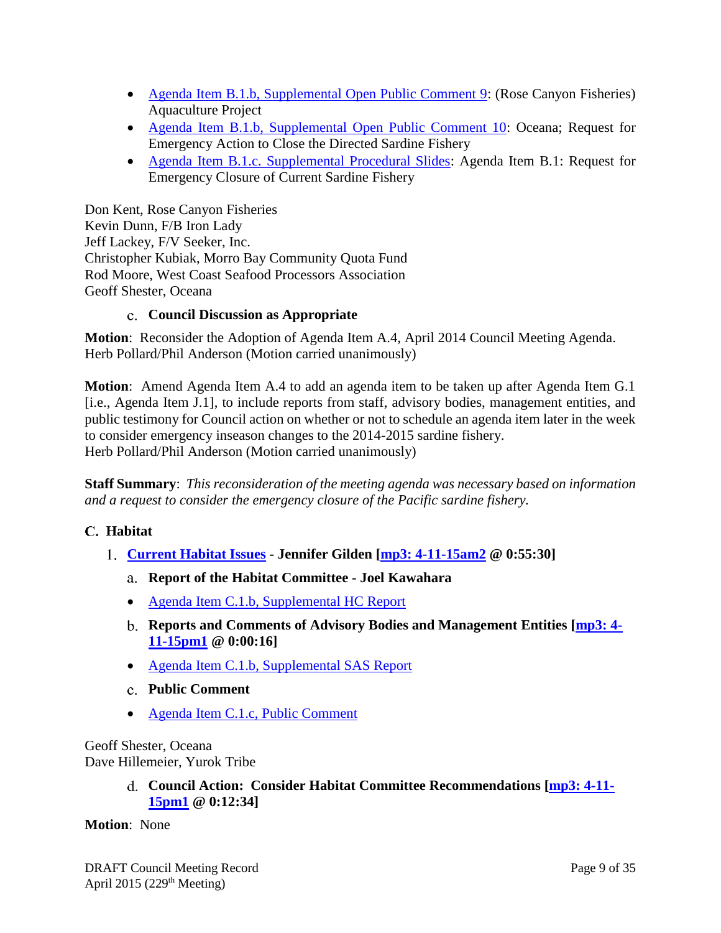- [Agenda Item B.1.b, Supplemental Open Public Comment 9:](http://www.pcouncil.org/wp-content/uploads/2015/04/B1b_SupOpenPubComment9_RoseCanyon_APR2015BB.pdf) (Rose Canyon Fisheries) Aquaculture Project
- [Agenda Item B.1.b, Supplemental Open Public Comment 10:](http://www.pcouncil.org/wp-content/uploads/2015/04/B1b_SupOpenPubComment10_OceanaEmergency_APR2015BB.pdf) Oceana; Request for Emergency Action to Close the Directed Sardine Fishery
- [Agenda Item B.1.c. Supplemental Procedural Slides:](http://www.pcouncil.org/wp-content/uploads/2015/04/B1c_SupProceduralSlidesEmergency_APR2015BB.pdf) Agenda Item B.1: Request for Emergency Closure of Current Sardine Fishery

Don Kent, Rose Canyon Fisheries Kevin Dunn, F/B Iron Lady Jeff Lackey, F/V Seeker, Inc. Christopher Kubiak, Morro Bay Community Quota Fund Rod Moore, West Coast Seafood Processors Association Geoff Shester, Oceana

### **Council Discussion as Appropriate**

<span id="page-8-0"></span>**Motion**: Reconsider the Adoption of Agenda Item A.4, April 2014 Council Meeting Agenda. Herb Pollard/Phil Anderson (Motion carried unanimously)

**Motion**: Amend Agenda Item A.4 to add an agenda item to be taken up after Agenda Item G.1 [i.e., Agenda Item J.1], to include reports from staff, advisory bodies, management entities, and public testimony for Council action on whether or not to schedule an agenda item later in the week to consider emergency inseason changes to the 2014-2015 sardine fishery. Herb Pollard/Phil Anderson (Motion carried unanimously)

**Staff Summary**: *This reconsideration of the meeting agenda was necessary based on information and a request to consider the emergency closure of the Pacific sardine fishery.*

# <span id="page-8-1"></span>**Habitat**

- <span id="page-8-4"></span><span id="page-8-3"></span><span id="page-8-2"></span>**[Current Habitat Issues](http://www.pcouncil.org/wp-content/uploads/2015/03/C1_SitSum_HabitatIssues_APR2015BB.pdf) - Jennifer Gilden [\[mp3: 4-11-15am2](ftp://ftp.pcouncil.org/pub/R1504_April_2015_Recordings/4-11-15am2Copy.mp3) @ 0:55:30]**
	- **Report of the Habitat Committee - Joel Kawahara**
	- [Agenda Item C.1.b, Supplemental HC Report](http://www.pcouncil.org/wp-content/uploads/2015/04/C1b_SupHC_Rpt_APR2015BB.pdf)
	- **Reports and Comments of Advisory Bodies and Management Entities [\[mp3: 4-](ftp://ftp.pcouncil.org/pub/R1504_April_2015_Recordings/4-11-15pm1Copy.mp3) [11-15pm1](ftp://ftp.pcouncil.org/pub/R1504_April_2015_Recordings/4-11-15pm1Copy.mp3) @ 0:00:16]**
	- [Agenda Item C.1.b, Supplemental SAS Report](http://www.pcouncil.org/wp-content/uploads/2015/04/C1b_SupSAS_Rpt_APR2015BB.pdf)
	- **Public Comment**
	- [Agenda Item C.1.c, Public Comment](http://www.pcouncil.org/wp-content/uploads/2015/03/C1c_PubCom_APR2015BB.pdf)

<span id="page-8-6"></span><span id="page-8-5"></span>Geoff Shester, Oceana Dave Hillemeier, Yurok Tribe

> **Council Action: Consider Habitat Committee Recommendations [\[mp3: 4-11-](ftp://ftp.pcouncil.org/pub/R1504_April_2015_Recordings/4-11-15pm1Copy.mp3) [15pm1](ftp://ftp.pcouncil.org/pub/R1504_April_2015_Recordings/4-11-15pm1Copy.mp3) @ 0:12:34]**

**Motion**: None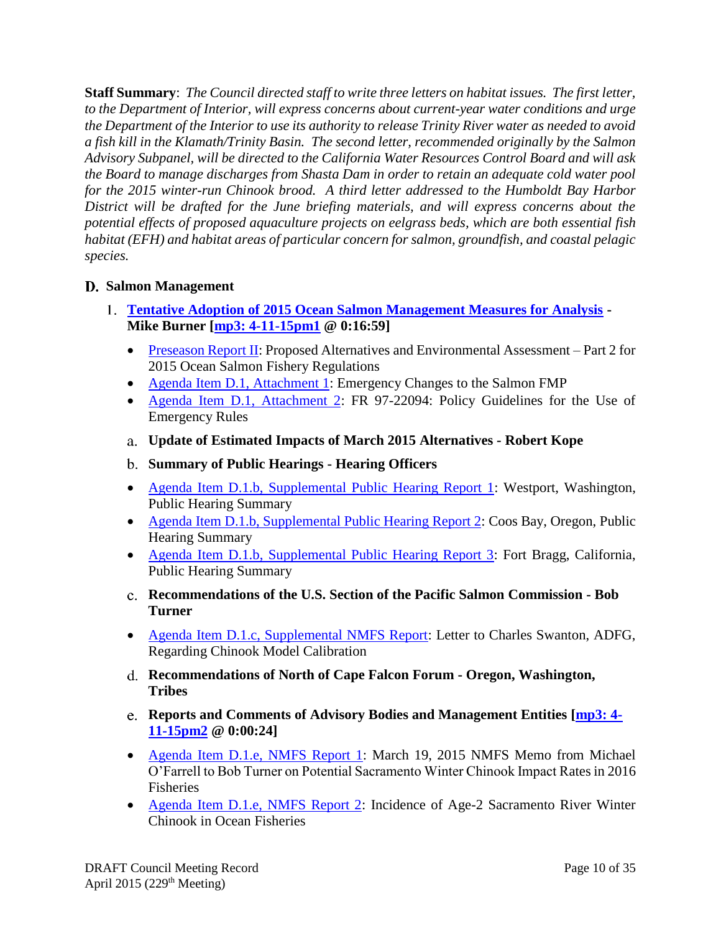**Staff Summary**: *The Council directed staff to write three letters on habitat issues. The first letter, to the Department of Interior, will express concerns about current-year water conditions and urge the Department of the Interior to use its authority to release Trinity River water as needed to avoid a fish kill in the Klamath/Trinity Basin. The second letter, recommended originally by the Salmon Advisory Subpanel, will be directed to the California Water Resources Control Board and will ask the Board to manage discharges from Shasta Dam in order to retain an adequate cold water pool for the 2015 winter-run Chinook brood. A third letter addressed to the Humboldt Bay Harbor District will be drafted for the June briefing materials, and will express concerns about the potential effects of proposed aquaculture projects on eelgrass beds, which are both essential fish habitat (EFH) and habitat areas of particular concern for salmon, groundfish, and coastal pelagic species.* 

# <span id="page-9-0"></span>**Salmon Management**

- <span id="page-9-6"></span><span id="page-9-5"></span><span id="page-9-4"></span><span id="page-9-3"></span><span id="page-9-2"></span><span id="page-9-1"></span>**[Tentative Adoption of 2015 Ocean Salmon Management Measures for Analysis](http://www.pcouncil.org/wp-content/uploads/2015/03/D1_SitSum_TentMgmtMeas_APR2015BB.pdf) - Mike Burner [\[mp3: 4-11-15pm1](ftp://ftp.pcouncil.org/pub/R1504_April_2015_Recordings/4-11-15pm1Copy.mp3) @ 0:16:59]**
	- [Preseason Report II:](http://www.pcouncil.org/salmon/stock-assessment-and-fishery-evaluation-safe-documents/preseason-reports/2015-preseason-report-ii/) Proposed Alternatives and Environmental Assessment Part 2 for 2015 Ocean Salmon Fishery Regulations
	- [Agenda Item D.1, Attachment 1:](http://www.pcouncil.org/wp-content/uploads/2015/03/D1_Att1_Emergency_APR2015BB.pdf) Emergency Changes to the Salmon FMP
	- [Agenda Item D.1, Attachment 2:](http://www.pcouncil.org/wp-content/uploads/2015/03/D1_Att2_ERule_FR_APR2015BB.pdf) FR 97-22094: Policy Guidelines for the Use of Emergency Rules
	- **Update of Estimated Impacts of March 2015 Alternatives - Robert Kope**
	- **Summary of Public Hearings - Hearing Officers**
	- [Agenda Item D.1.b, Supplemental Public Hearing Report 1:](http://www.pcouncil.org/wp-content/uploads/2015/04/D1b_SupPubHrgRpt1_Westport_APR2015BB.pdf) Westport, Washington, Public Hearing Summary
	- [Agenda Item D.1.b, Supplemental Public Hearing Report 2:](http://www.pcouncil.org/wp-content/uploads/2015/04/D1b_SupPubHrgRpt2_CoosBay_APR2015BB.pdf) Coos Bay, Oregon, Public Hearing Summary
	- [Agenda Item D.1.b, Supplemental Public Hearing Report 3:](http://www.pcouncil.org/wp-content/uploads/2015/04/D1b_SupPubHrgRpt3_FortBragg_APR2015BB.pdf) Fort Bragg, California, Public Hearing Summary
	- **Recommendations of the U.S. Section of the Pacific Salmon Commission - Bob Turner**
	- [Agenda Item D.1.c, Supplemental NMFS Report:](http://www.pcouncil.org/wp-content/uploads/2015/04/D1c_SupNMFS_Rpt_SwantonLtr_APR2015BB.pdf) Letter to Charles Swanton, ADFG, Regarding Chinook Model Calibration
	- **Recommendations of North of Cape Falcon Forum - Oregon, Washington, Tribes**
	- **Reports and Comments of Advisory Bodies and Management Entities [\[mp3: 4-](ftp://ftp.pcouncil.org/pub/R1504_April_2015_Recordings/4-11-15pm2Copy.mp3) [11-15pm2](ftp://ftp.pcouncil.org/pub/R1504_April_2015_Recordings/4-11-15pm2Copy.mp3) @ 0:00:24]**
	- [Agenda Item D.1.e, NMFS Report 1:](http://www.pcouncil.org/wp-content/uploads/2015/03/D1e_NMFSRpt1_SRWCimpact_APR2015BB.pdf) March 19, 2015 NMFS Memo from Michael O'Farrell to Bob Turner on Potential Sacramento Winter Chinook Impact Rates in 2016 **Fisheries**
	- [Agenda Item D.1.e, NMFS Report 2:](http://www.pcouncil.org/wp-content/uploads/2015/03/D1e_NMFSRpt2_SRWage2_APR2015BB.pdf) Incidence of Age-2 Sacramento River Winter Chinook in Ocean Fisheries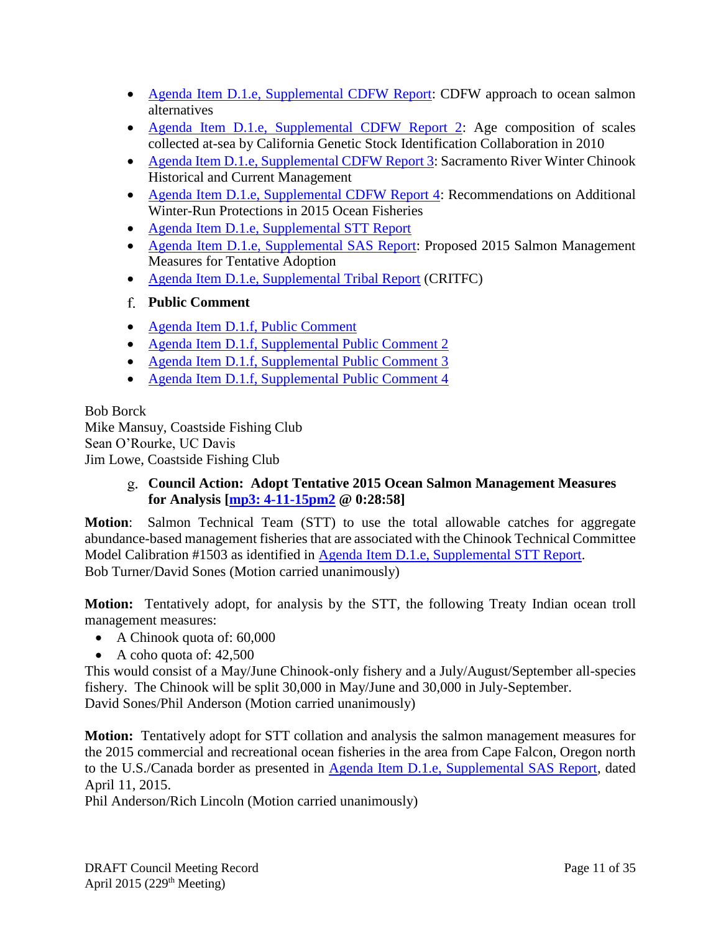- [Agenda Item D.1.e, Supplemental CDFW Report:](http://www.pcouncil.org/wp-content/uploads/2015/04/D1e_SupCDFW_Rpt_APR2015BB.pdf) CDFW approach to ocean salmon alternatives
- [Agenda Item D.1.e, Supplemental CDFW Report 2:](http://www.pcouncil.org/wp-content/uploads/2015/04/D1e_SupCDFW_Rpt2_APR2015BB.pdf) Age composition of scales collected at-sea by California Genetic Stock Identification Collaboration in 2010
- Agenda Item D.1.e, [Supplemental CDFW Report 3:](http://www.pcouncil.org/wp-content/uploads/2015/04/D1e_SupCDFW_Rpt3_APR2015BB.pdf) Sacramento River Winter Chinook Historical and Current Management
- [Agenda Item D.1.e, Supplemental CDFW Report 4:](http://www.pcouncil.org/wp-content/uploads/2015/04/D1e_SupCDFW_Rpt4_APR2015BB.pdf) Recommendations on Additional Winter-Run Protections in 2015 Ocean Fisheries
- [Agenda Item D.1.e, Supplemental STT Report](http://www.pcouncil.org/wp-content/uploads/2015/04/D1e_Sup_STT_Rpt_Mgt_Meas_APR2015BB.pdf)
- [Agenda Item D.1.e, Supplemental SAS Report:](http://www.pcouncil.org/wp-content/uploads/2015/04/D1e-Sup_SAS_Rpt_APR2015BB.pdf) Proposed 2015 Salmon Management Measures for Tentative Adoption
- [Agenda Item D.1.e, Supplemental Tribal Report](http://www.pcouncil.org/wp-content/uploads/2015/04/D1e-Sup_CRITFC_Rpt_APR2015BB.pdf) (CRITFC)
- <span id="page-10-0"></span>**Public Comment**
- [Agenda Item D.1.f, Public Comment](http://www.pcouncil.org/wp-content/uploads/2015/03/D1f_PubCom_APR2015BB.pdf)
- [Agenda Item D.1.f, Supplemental Public Comment 2](http://www.pcouncil.org/wp-content/uploads/2015/04/D1f_SupPubCom2_APR2015BB.pdf)
- [Agenda Item D.1.f, Supplemental Public Comment 3](http://www.pcouncil.org/wp-content/uploads/2015/04/D1f_SupPubCom3_APR2015BB.pdf)
- [Agenda Item D.1.f, Supplemental Public Comment 4](http://www.pcouncil.org/wp-content/uploads/2015/04/D1f_SupPubCom4_APR2015BB.pdf)

Bob Borck Mike Mansuy, Coastside Fishing Club Sean O'Rourke, UC Davis Jim Lowe, Coastside Fishing Club

# <span id="page-10-1"></span>**Council Action: Adopt Tentative 2015 Ocean Salmon Management Measures for Analysis [\[mp3: 4-11-15pm2](ftp://ftp.pcouncil.org/pub/R1504_April_2015_Recordings/4-11-15pm2Copy.mp3) @ 0:28:58]**

**Motion**: Salmon Technical Team (STT) to use the total allowable catches for aggregate abundance-based management fisheries that are associated with the Chinook Technical Committee Model Calibration #1503 as identified in [Agenda Item D.1.e, Supplemental STT Report.](http://www.pcouncil.org/wp-content/uploads/2015/04/D1e_Sup_STT_Rpt_Mgt_Meas_APR2015BB.pdf) Bob Turner/David Sones (Motion carried unanimously)

**Motion:** Tentatively adopt, for analysis by the STT, the following Treaty Indian ocean troll management measures:

- A Chinook quota of: 60,000
- $\bullet$  A coho quota of: 42,500

This would consist of a May/June Chinook-only fishery and a July/August/September all-species fishery. The Chinook will be split 30,000 in May/June and 30,000 in July-September. David Sones/Phil Anderson (Motion carried unanimously)

**Motion:** Tentatively adopt for STT collation and analysis the salmon management measures for the 2015 commercial and recreational ocean fisheries in the area from Cape Falcon, Oregon north to the U.S./Canada border as presented in [Agenda Item D.1.e, Supplemental SAS Report,](http://www.pcouncil.org/wp-content/uploads/2015/04/D1e-Sup_SAS_Rpt_APR2015BB.pdf) dated April 11, 2015.

Phil Anderson/Rich Lincoln (Motion carried unanimously)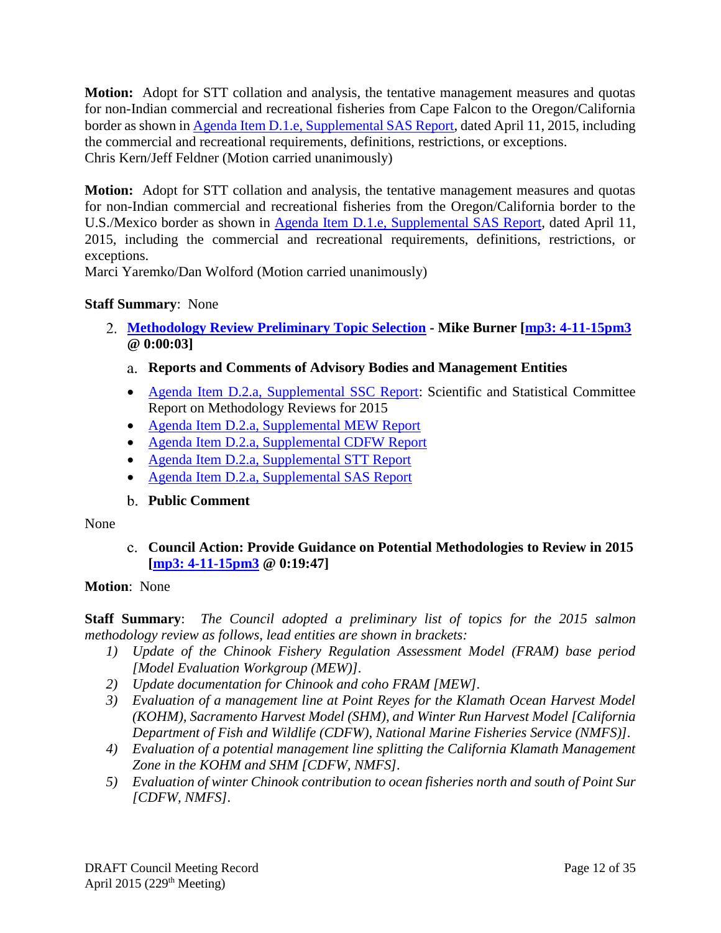**Motion:** Adopt for STT collation and analysis, the tentative management measures and quotas for non-Indian commercial and recreational fisheries from Cape Falcon to the Oregon/California border as shown in [Agenda Item D.1.e, Supplemental SAS Report,](http://www.pcouncil.org/wp-content/uploads/2015/04/D1e-Sup_SAS_Rpt_APR2015BB.pdf) dated April 11, 2015, including the commercial and recreational requirements, definitions, restrictions, or exceptions. Chris Kern/Jeff Feldner (Motion carried unanimously)

**Motion:** Adopt for STT collation and analysis, the tentative management measures and quotas for non-Indian commercial and recreational fisheries from the Oregon/California border to the U.S./Mexico border as shown in [Agenda Item D.1.e, Supplemental SAS Report,](http://www.pcouncil.org/wp-content/uploads/2015/04/D1e-Sup_SAS_Rpt_APR2015BB.pdf) dated April 11, 2015, including the commercial and recreational requirements, definitions, restrictions, or exceptions.

Marci Yaremko/Dan Wolford (Motion carried unanimously)

# **Staff Summary**: None

- <span id="page-11-1"></span><span id="page-11-0"></span>**[Methodology Review Preliminary Topic Selection](http://www.pcouncil.org/wp-content/uploads/2015/03/D2_SitSum_Meth_Review_APR2015BB.pdf) - Mike Burner [\[mp3: 4-11-15pm3](ftp://ftp.pcouncil.org/pub/R1504_April_2015_Recordings/4-11-15pm3Copy.mp3) @ 0:00:03]**
	- **Reports and Comments of Advisory Bodies and Management Entities**
	- [Agenda Item D.2.a, Supplemental SSC Report:](http://www.pcouncil.org/wp-content/uploads/2015/04/D2a_Sup_SSC_Rpt_MethRvw2015_APR2015BB.pdf) Scientific and Statistical Committee Report on Methodology Reviews for 2015
	- [Agenda Item D.2.a, Supplemental MEW Report](http://www.pcouncil.org/wp-content/uploads/2015/04/D2a_Sup_MEW_Rpt_MethRvw2015_APR2015BB.pdf)
	- [Agenda Item D.2.a, Supplemental CDFW Report](http://www.pcouncil.org/wp-content/uploads/2015/04/D2a_Sup_CDFW_Rpt_MethRvw2015_APR2015BB.pdf)
	- [Agenda Item D.2.a, Supplemental STT Report](http://www.pcouncil.org/wp-content/uploads/2015/04/D2a_Sup_STT_Rpt_MethRvw2015_APR2015BB.pdf)
	- [Agenda Item D.2.a, Supplemental SAS Report](http://www.pcouncil.org/wp-content/uploads/2015/04/D2a_Sup_SAS_Rpt_MethRvw2015_APR2015BB.pdf)

# **Public Comment**

#### <span id="page-11-3"></span><span id="page-11-2"></span>None

**Council Action: Provide Guidance on Potential Methodologies to Review in 2015 [\[mp3: 4-11-15pm3](ftp://ftp.pcouncil.org/pub/R1504_April_2015_Recordings/4-11-15pm3Copy.mp3) @ 0:19:47]**

# **Motion**: None

**Staff Summary**: *The Council adopted a preliminary list of topics for the 2015 salmon methodology review as follows, lead entities are shown in brackets:*

- *1) Update of the Chinook Fishery Regulation Assessment Model (FRAM) base period [Model Evaluation Workgroup (MEW)].*
- *2) Update documentation for Chinook and coho FRAM [MEW].*
- *3) Evaluation of a management line at Point Reyes for the Klamath Ocean Harvest Model (KOHM), Sacramento Harvest Model (SHM), and Winter Run Harvest Model [California Department of Fish and Wildlife (CDFW), National Marine Fisheries Service (NMFS)].*
- *4) Evaluation of a potential management line splitting the California Klamath Management Zone in the KOHM and SHM [CDFW, NMFS].*
- *5) Evaluation of winter Chinook contribution to ocean fisheries north and south of Point Sur [CDFW, NMFS].*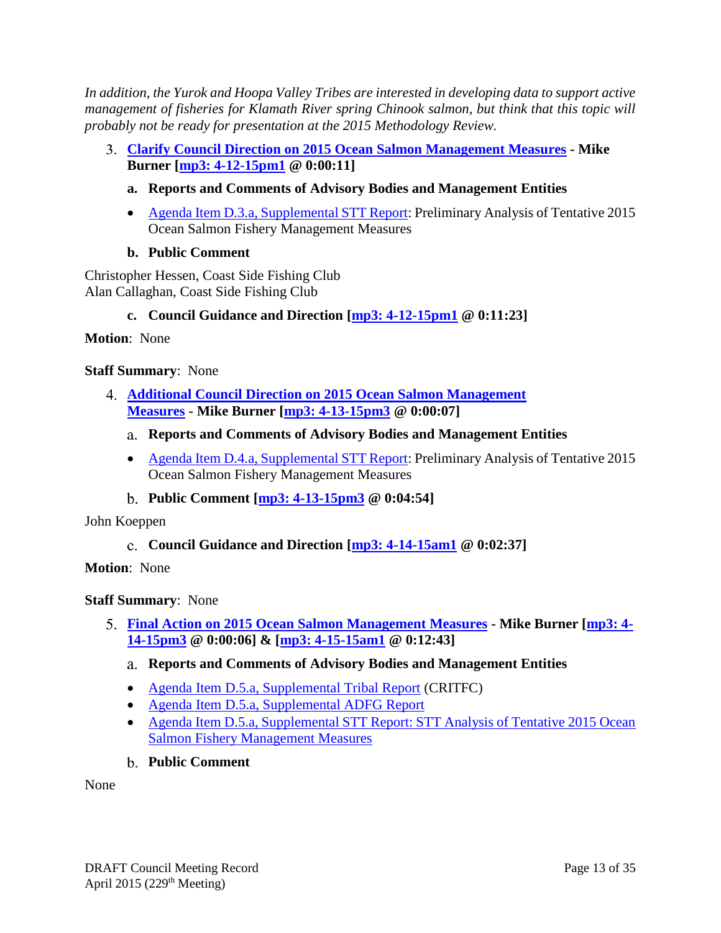*In addition, the Yurok and Hoopa Valley Tribes are interested in developing data to support active management of fisheries for Klamath River spring Chinook salmon, but think that this topic will probably not be ready for presentation at the 2015 Methodology Review.*

- <span id="page-12-1"></span><span id="page-12-0"></span>**[Clarify Council Direction on 2015 Ocean Salmon Management Measures](http://www.pcouncil.org/wp-content/uploads/2015/03/D3_SitSum_Clarify_APR2015BB.pdf) - Mike Burner [\[mp3: 4-12-15pm1](ftp://ftp.pcouncil.org/pub/R1504_April_2015_Recordings/4-12-15pm1Copy.mp3) @ 0:00:11]**
	- **a. Reports and Comments of Advisory Bodies and Management Entities**
	- [Agenda Item D.3.a, Supplemental STT Report:](http://www.pcouncil.org/wp-content/uploads/2015/04/D3a_SupSTT_Rpt_tent_measures_prelim_analysis_APR2015BB.pdf) Preliminary Analysis of Tentative 2015 Ocean Salmon Fishery Management Measures
	- **b. Public Comment**

<span id="page-12-2"></span>Christopher Hessen, Coast Side Fishing Club Alan Callaghan, Coast Side Fishing Club

**c. Council Guidance and Direction [\[mp3: 4-12-15pm1](ftp://ftp.pcouncil.org/pub/R1504_April_2015_Recordings/4-12-15pm1Copy.mp3) @ 0:11:23]**

<span id="page-12-3"></span>**Motion**: None

### **Staff Summary**: None

- <span id="page-12-5"></span><span id="page-12-4"></span>**[Additional Council Direction on 2015 Ocean Salmon Management](http://www.pcouncil.org/wp-content/uploads/2015/03/D4_SitSum_Add_Clarification_APR2015BB.pdf)  [Measures](http://www.pcouncil.org/wp-content/uploads/2015/03/D4_SitSum_Add_Clarification_APR2015BB.pdf) - Mike Burner [\[mp3: 4-13-15pm3](ftp://ftp.pcouncil.org/pub/R1504_April_2015_Recordings/4-13-15pm3Copy.mp3) @ 0:00:07]**
	- **Reports and Comments of Advisory Bodies and Management Entities**
	- [Agenda Item D.4.a, Supplemental STT Report:](http://www.pcouncil.org/wp-content/uploads/2015/04/D4a_Sup_STT_Rpt_tent_measures-additonal_GuidanceFINAL_APR2015BB.pdf) Preliminary Analysis of Tentative 2015 Ocean Salmon Fishery Management Measures
	- **Public Comment [\[mp3: 4-13-15pm3](ftp://ftp.pcouncil.org/pub/R1504_April_2015_Recordings/4-13-15pm3Copy.mp3) @ 0:04:54]**

<span id="page-12-7"></span><span id="page-12-6"></span>John Koeppen

**Council Guidance and Direction [\[mp3: 4-14-15am1](ftp://ftp.pcouncil.org/pub/R1504_April_2015_Recordings/4-14-15am1Copy.mp3) @ 0:02:37]**

**Motion**: None

#### **Staff Summary**: None

- <span id="page-12-9"></span><span id="page-12-8"></span>**[Final Action on 2015 Ocean Salmon Management Measures](http://www.pcouncil.org/wp-content/uploads/2015/03/D5_SitSum_Final_APR2015BB.pdf) - Mike Burner [\[mp3: 4-](ftp://ftp.pcouncil.org/pub/R1504_April_2015_Recordings/4-14-15pm3Copy.mp3) [14-15pm3](ftp://ftp.pcouncil.org/pub/R1504_April_2015_Recordings/4-14-15pm3Copy.mp3) @ 0:00:06] & [\[mp3: 4-15-15am1](ftp://ftp.pcouncil.org/pub/R1504_April_2015_Recordings/4-15-15am1Copy.mp3) @ 0:12:43]**
	- **Reports and Comments of Advisory Bodies and Management Entities**
	- [Agenda Item D.5.a, Supplemental Tribal Report](http://www.pcouncil.org/wp-content/uploads/2015/04/D5a_Sup_Tribal_Rpt_CRITFC_APR2015BB.pdf) (CRITFC)
	- [Agenda Item D.5.a, Supplemental ADFG Report](http://www.pcouncil.org/wp-content/uploads/2015/04/D5a_Sup_ADFG_Rpt_APR2015BB.pdf)
	- [Agenda Item D.5.a, Supplemental STT Report: STT Analysis of Tentative 2015 Ocean](http://www.pcouncil.org/wp-content/uploads/2015/04/D5a_Supp_STT_Rpt_tent_measures-additonal_Guidancefinal_APR2015BB.pdf)  [Salmon Fishery Management Measures](http://www.pcouncil.org/wp-content/uploads/2015/04/D5a_Supp_STT_Rpt_tent_measures-additonal_Guidancefinal_APR2015BB.pdf)
	- **Public Comment**

<span id="page-12-10"></span>None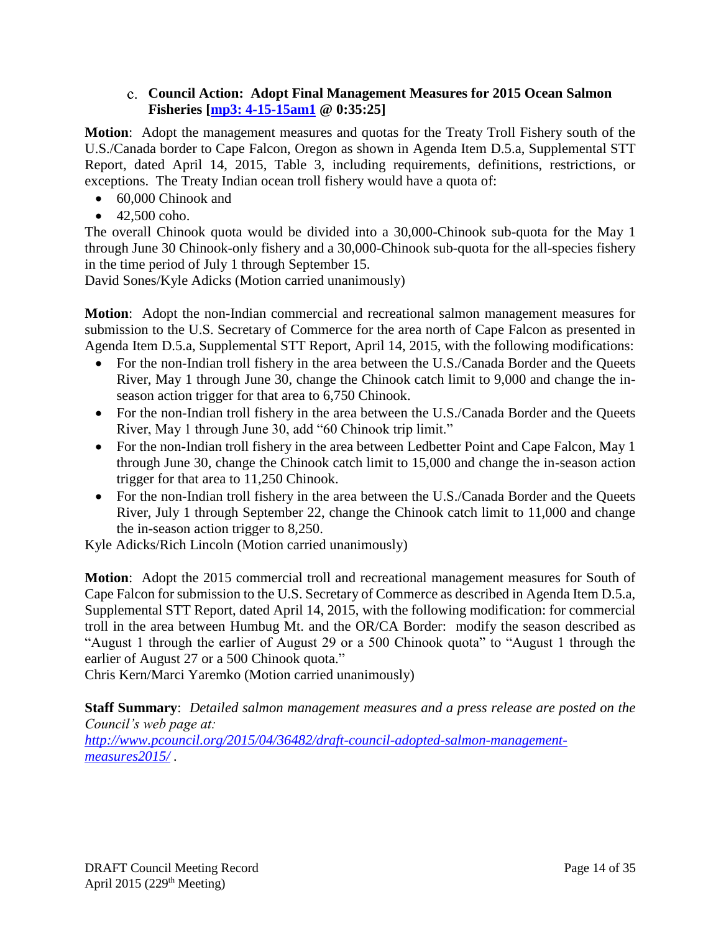### **Council Action: Adopt Final Management Measures for 2015 Ocean Salmon Fisheries [\[mp3: 4-15-15am1](ftp://ftp.pcouncil.org/pub/R1504_April_2015_Recordings/4-15-15am1Copy.mp3) @ 0:35:25]**

<span id="page-13-0"></span>**Motion**: Adopt the management measures and quotas for the Treaty Troll Fishery south of the U.S./Canada border to Cape Falcon, Oregon as shown in Agenda Item D.5.a, Supplemental STT Report, dated April 14, 2015, Table 3, including requirements, definitions, restrictions, or exceptions. The Treaty Indian ocean troll fishery would have a quota of:

- 60,000 Chinook and
- $\bullet$  42,500 coho.

The overall Chinook quota would be divided into a 30,000-Chinook sub-quota for the May 1 through June 30 Chinook-only fishery and a 30,000-Chinook sub-quota for the all-species fishery in the time period of July 1 through September 15.

David Sones/Kyle Adicks (Motion carried unanimously)

**Motion**: Adopt the non-Indian commercial and recreational salmon management measures for submission to the U.S. Secretary of Commerce for the area north of Cape Falcon as presented in Agenda Item D.5.a, Supplemental STT Report, April 14, 2015, with the following modifications:

- For the non-Indian troll fishery in the area between the U.S./Canada Border and the Queets River, May 1 through June 30, change the Chinook catch limit to 9,000 and change the inseason action trigger for that area to 6,750 Chinook.
- For the non-Indian troll fishery in the area between the U.S./Canada Border and the Queets River, May 1 through June 30, add "60 Chinook trip limit."
- For the non-Indian troll fishery in the area between Ledbetter Point and Cape Falcon, May 1 through June 30, change the Chinook catch limit to 15,000 and change the in-season action trigger for that area to 11,250 Chinook.
- For the non-Indian troll fishery in the area between the U.S./Canada Border and the Queets River, July 1 through September 22, change the Chinook catch limit to 11,000 and change the in-season action trigger to 8,250.

Kyle Adicks/Rich Lincoln (Motion carried unanimously)

**Motion**: Adopt the 2015 commercial troll and recreational management measures for South of Cape Falcon for submission to the U.S. Secretary of Commerce as described in Agenda Item D.5.a, Supplemental STT Report, dated April 14, 2015, with the following modification: for commercial troll in the area between Humbug Mt. and the OR/CA Border: modify the season described as "August 1 through the earlier of August 29 or a 500 Chinook quota" to "August 1 through the earlier of August 27 or a 500 Chinook quota."

Chris Kern/Marci Yaremko (Motion carried unanimously)

**Staff Summary**: *Detailed salmon management measures and a press release are posted on the Council's web page at:*

*[http://www.pcouncil.org/2015/04/36482/draft-council-adopted-salmon-management](http://www.pcouncil.org/2015/04/36482/draft-council-adopted-salmon-management-measures2015/)[measures2015/](http://www.pcouncil.org/2015/04/36482/draft-council-adopted-salmon-management-measures2015/) .*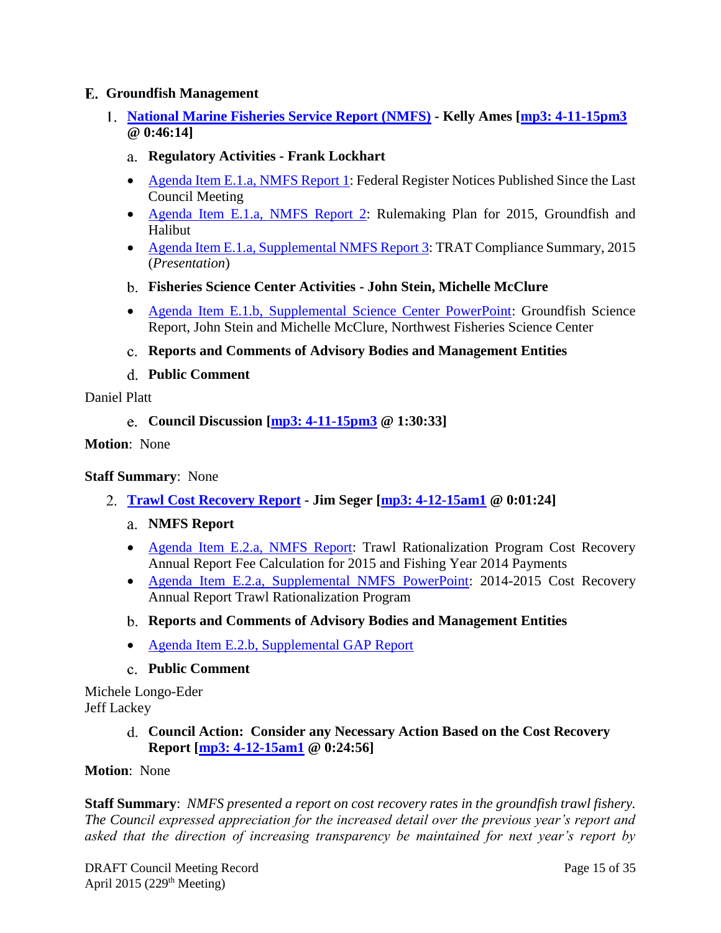### <span id="page-14-0"></span>**Groundfish Management**

- <span id="page-14-2"></span><span id="page-14-1"></span>**[National Marine Fisheries Service Report \(NMFS\)](http://www.pcouncil.org/wp-content/uploads/2015/03/E1_SitSum_NMFS_Rpt_APR2015BB.pdf) - Kelly Ames [\[mp3: 4-11-15pm3](ftp://ftp.pcouncil.org/pub/R1504_April_2015_Recordings/4-11-15pm3Copy.mp3) @ 0:46:14]**
	- **Regulatory Activities - Frank Lockhart**
	- [Agenda Item E.1.a, NMFS Report 1:](http://www.pcouncil.org/wp-content/uploads/2015/03/E1a_NMFS_Rpt1_FR_APR2015BB.pdf) Federal Register Notices Published Since the Last Council Meeting
	- [Agenda Item E.1.a, NMFS Report 2:](http://www.pcouncil.org/wp-content/uploads/2015/03/E1a_NMFS_Rpt2_Rulemaking_APR2015BB.pdf) Rulemaking Plan for 2015, Groundfish and Halibut
	- [Agenda Item E.1.a, Supplemental NMFS Report 3:](http://www.pcouncil.org/wp-content/uploads/2015/04/E1a_SupNMFS_Rpt3_Trat_APR2015BB.pdf) TRAT Compliance Summary, 2015 (*Presentation*)
	- **Fisheries Science Center Activities - John Stein, Michelle McClure**
	- [Agenda Item E.1.b, Supplemental Science Center PowerPoint:](http://www.pcouncil.org/wp-content/uploads/2015/04/E1b_SupScienceCtr_PPT_APR2015BB.pdf) Groundfish Science Report, John Stein and Michelle McClure, Northwest Fisheries Science Center
	- **Reports and Comments of Advisory Bodies and Management Entities**
	- **Public Comment**

<span id="page-14-6"></span><span id="page-14-5"></span><span id="page-14-4"></span><span id="page-14-3"></span>Daniel Platt

**Council Discussion [\[mp3: 4-11-15pm3](ftp://ftp.pcouncil.org/pub/R1504_April_2015_Recordings/4-11-15pm3Copy.mp3) @ 1:30:33]**

**Motion**: None

#### **Staff Summary**: None

- <span id="page-14-8"></span><span id="page-14-7"></span>**[Trawl Cost Recovery Report](http://www.pcouncil.org/wp-content/uploads/2015/03/E2_SitSum_CostRecovery_APR2015BB.pdf) - Jim Seger [\[mp3: 4-12-15am1](ftp://ftp.pcouncil.org/pub/R1504_April_2015_Recordings/4-12-15am1Copy.mp3) @ 0:01:24]**
	- **NMFS Report**
	- [Agenda Item E.2.a, NMFS Report:](http://www.pcouncil.org/wp-content/uploads/2015/03/E2a_NMFS_Rpt_Trat_AnnualCalc15Pymts114_APR2015BB.pdf) Trawl Rationalization Program Cost Recovery Annual Report Fee Calculation for 2015 and Fishing Year 2014 Payments
	- [Agenda Item E.2.a, Supplemental NMFS PowerPoint:](http://www.pcouncil.org/wp-content/uploads/2015/04/E2a_SupNMFS_PPT_CostRecovery_APR2015BB.pdf) 2014-2015 Cost Recovery Annual Report Trawl Rationalization Program
	- **Reports and Comments of Advisory Bodies and Management Entities**
	- [Agenda Item E.2.b, Supplemental GAP Report](http://www.pcouncil.org/wp-content/uploads/2015/04/E2b-SupGAP_Rpt_APR2015BB.pdf)
	- **Public Comment**

<span id="page-14-11"></span><span id="page-14-10"></span><span id="page-14-9"></span>Michele Longo-Eder Jeff Lackey

> **Council Action: Consider any Necessary Action Based on the Cost Recovery Report [\[mp3: 4-12-15am1](ftp://ftp.pcouncil.org/pub/R1504_April_2015_Recordings/4-12-15am1Copy.mp3) @ 0:24:56]**

**Motion**: None

**Staff Summary**: *NMFS presented a report on cost recovery rates in the groundfish trawl fishery. The Council expressed appreciation for the increased detail over the previous year's report and asked that the direction of increasing transparency be maintained for next year's report by*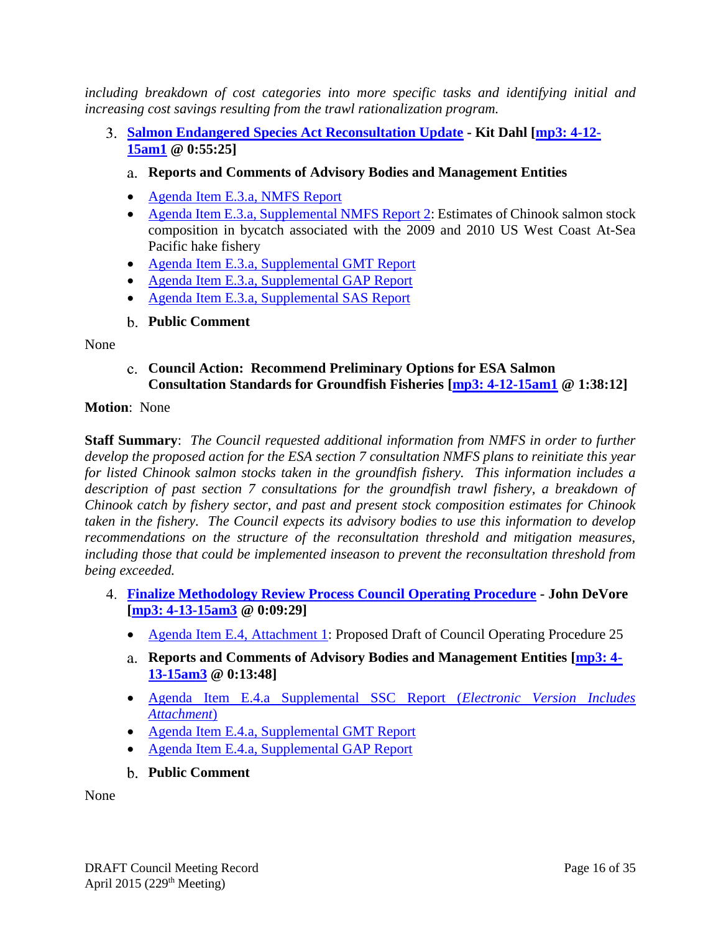*including breakdown of cost categories into more specific tasks and identifying initial and increasing cost savings resulting from the trawl rationalization program.*

- <span id="page-15-1"></span><span id="page-15-0"></span>**[Salmon Endangered Species Act Reconsultation Update](http://www.pcouncil.org/wp-content/uploads/2015/03/E3_SitSum_SalmonReconsultUpdate_APR2015BB.pdf) - Kit Dahl [\[mp3: 4-12-](ftp://ftp.pcouncil.org/pub/R1504_April_2015_Recordings/4-12-15am1Copy.mp3) [15am1](ftp://ftp.pcouncil.org/pub/R1504_April_2015_Recordings/4-12-15am1Copy.mp3) @ 0:55:25]**
	- **Reports and Comments of Advisory Bodies and Management Entities**
	- [Agenda Item E.3.a, NMFS Report](http://www.pcouncil.org/wp-content/uploads/2015/03/E3a_NMFS_Rpt_GFSalmonConsultation_APR2015BB.pdf)
	- [Agenda Item E.3.a, Supplemental NMFS Report 2:](http://www.pcouncil.org/wp-content/uploads/2015/04/E3a_SupNMFS_Rpt_Moran_Tuttle_Genetic_APR2015BB.pdf) Estimates of Chinook salmon stock composition in bycatch associated with the 2009 and 2010 US West Coast At-Sea Pacific hake fishery
	- [Agenda Item E.3.a, Supplemental GMT Report](http://www.pcouncil.org/wp-content/uploads/2015/04/E3a_SupGMT_Rpt_Salmon_APR2015BB.pdf)
	- [Agenda Item E.3.a, Supplemental GAP Report](http://www.pcouncil.org/wp-content/uploads/2015/04/E3a-SupGAP_Rpt_APR2015BB.pdf)
	- [Agenda Item E.3.a, Supplemental SAS Report](http://www.pcouncil.org/wp-content/uploads/2015/04/E3a-SupSAS_Rpt_APR2015BB.pdf)
	- **Public Comment**

<span id="page-15-3"></span><span id="page-15-2"></span>None

**Council Action: Recommend Preliminary Options for ESA Salmon Consultation Standards for Groundfish Fisheries [\[mp3: 4-12-15am1](ftp://ftp.pcouncil.org/pub/R1504_April_2015_Recordings/4-12-15am1Copy.mp3) @ 1:38:12]**

#### **Motion**: None

**Staff Summary**: *The Council requested additional information from NMFS in order to further develop the proposed action for the ESA section 7 consultation NMFS plans to reinitiate this year for listed Chinook salmon stocks taken in the groundfish fishery. This information includes a*  description of past section 7 consultations for the groundfish trawl fishery, a breakdown of *Chinook catch by fishery sector, and past and present stock composition estimates for Chinook taken in the fishery. The Council expects its advisory bodies to use this information to develop recommendations on the structure of the reconsultation threshold and mitigation measures, including those that could be implemented inseason to prevent the reconsultation threshold from being exceeded.*

- <span id="page-15-5"></span><span id="page-15-4"></span>**[Finalize Methodology Review Process Council Operating Procedure](http://www.pcouncil.org/wp-content/uploads/2015/03/E4_SitSum_GFMethRvwProcess_COP_APR2015BB.pdf) - John DeVore [\[mp3: 4-13-15am3](ftp://ftp.pcouncil.org/pub/R1504_April_2015_Recordings/4-13-15am3Copy.mp3) @ 0:09:29]**
	- [Agenda Item E.4, Attachment 1:](http://www.pcouncil.org/wp-content/uploads/2015/03/E4_Att1_COP25_ProposedDraft_APR2015BB.pdf) Proposed Draft of Council Operating Procedure 25
	- **Reports and Comments of Advisory Bodies and Management Entities [\[mp3: 4-](ftp://ftp.pcouncil.org/pub/R1504_April_2015_Recordings/4-13-15am3Copy.mp3) [13-15am3](ftp://ftp.pcouncil.org/pub/R1504_April_2015_Recordings/4-13-15am3Copy.mp3) @ 0:13:48]**
	- [Agenda Item E.4.a Supplemental SSC Report \(](http://www.pcouncil.org/wp-content/uploads/2015/04/E4a_SupSSC_Rpt_E-Version_APR2015BB.pdf)*Electronic Version Includes [Attachment](http://www.pcouncil.org/wp-content/uploads/2015/04/E4a_SupSSC_Rpt_E-Version_APR2015BB.pdf)*)
	- [Agenda Item E.4.a, Supplemental GMT Report](http://www.pcouncil.org/wp-content/uploads/2015/04/E4a_SupGMT_Rpt_APR2015BB.pdf)
	- [Agenda Item E.4.a, Supplemental GAP Report](http://www.pcouncil.org/wp-content/uploads/2015/04/E4a_SupGAP_Rpt_APR2015BB.pdf)
	- **Public Comment**

<span id="page-15-6"></span>None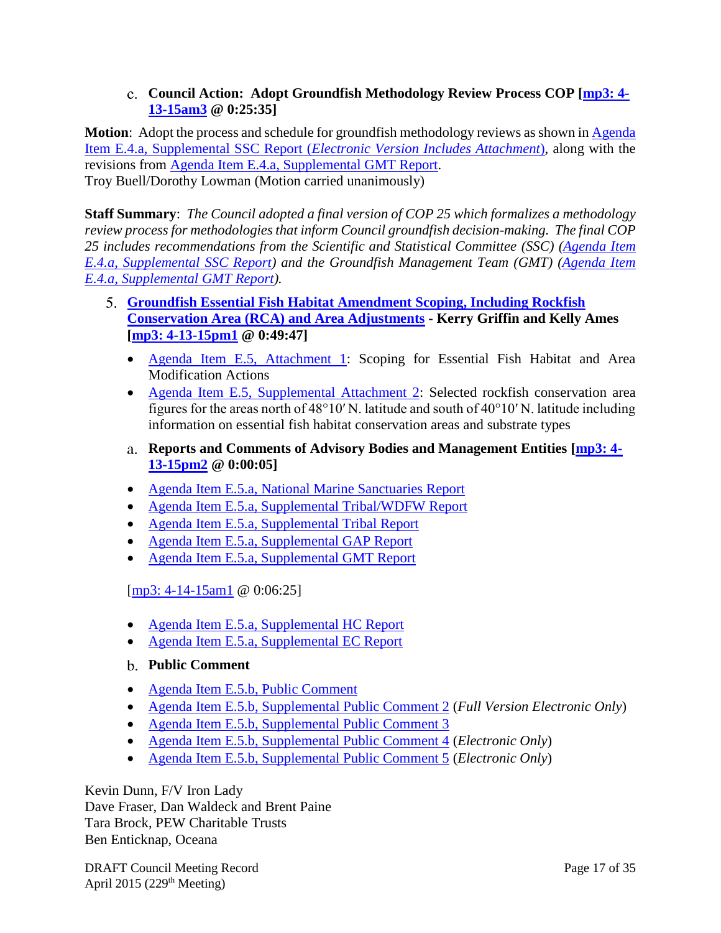# **Council Action: Adopt Groundfish Methodology Review Process COP [\[mp3: 4-](ftp://ftp.pcouncil.org/pub/R1504_April_2015_Recordings/4-13-15am3Copy.mp3) [13-15am3](ftp://ftp.pcouncil.org/pub/R1504_April_2015_Recordings/4-13-15am3Copy.mp3) @ 0:25:35]**

<span id="page-16-0"></span>**Motion**: Adopt the process and schedule for groundfish methodology reviews as shown i[n Agenda](http://www.pcouncil.org/wp-content/uploads/2015/04/E4a_SupSSC_Rpt_E-Version_APR2015BB.pdf)  Item E.4.a, Supplemental SSC Report (*[Electronic Version Includes Attachment](http://www.pcouncil.org/wp-content/uploads/2015/04/E4a_SupSSC_Rpt_E-Version_APR2015BB.pdf)*), along with the revisions from [Agenda Item E.4.a, Supplemental GMT Report.](http://www.pcouncil.org/wp-content/uploads/2015/04/E4a_SupGMT_Rpt_APR2015BB.pdf) Troy Buell/Dorothy Lowman (Motion carried unanimously)

**Staff Summary**: *The Council adopted a final version of COP 25 which formalizes a methodology review process for methodologies that inform Council groundfish decision-making. The final COP 25 includes recommendations from the Scientific and Statistical Committee (SSC) [\(Agenda Item](http://www.pcouncil.org/wp-content/uploads/2015/04/E4a_SupSSC_Rpt_E-Version_APR2015BB.pdf)  [E.4.a, Supplemental SSC Report\)](http://www.pcouncil.org/wp-content/uploads/2015/04/E4a_SupSSC_Rpt_E-Version_APR2015BB.pdf) and the Groundfish Management Team (GMT) [\(Agenda Item](http://www.pcouncil.org/wp-content/uploads/2015/04/E4a_SupGMT_Rpt_APR2015BB.pdf)  [E.4.a, Supplemental GMT Report\)](http://www.pcouncil.org/wp-content/uploads/2015/04/E4a_SupGMT_Rpt_APR2015BB.pdf).*

- <span id="page-16-2"></span><span id="page-16-1"></span>**[Groundfish Essential Fish Habitat Amendment Scoping, Including Rockfish](http://www.pcouncil.org/wp-content/uploads/2015/03/E5_SitSum_GF_EFH_AreaAdjustmts_APR2015BB.pdf)  [Conservation Area \(RCA\) and Area Adjustments](http://www.pcouncil.org/wp-content/uploads/2015/03/E5_SitSum_GF_EFH_AreaAdjustmts_APR2015BB.pdf) - Kerry Griffin and Kelly Ames [\[mp3: 4-13-15pm1](ftp://ftp.pcouncil.org/pub/R1504_April_2015_Recordings/4-13-15pm1Copy.mp3) @ 0:49:47]**
	- [Agenda Item E.5, Attachment 1:](http://www.pcouncil.org/wp-content/uploads/2015/03/E5_Att1_ScopingDocDRAFT_APR2015BB.pdf) Scoping for Essential Fish Habitat and Area Modification Actions
	- [Agenda Item E.5, Supplemental Attachment 2:](http://www.pcouncil.org/wp-content/uploads/2015/04/E5_SupAtt2_Maps_APR2015BB.pdf) Selected rockfish conservation area figures for the areas north of 48°10′ N. latitude and south of 40°10′ N. latitude including information on essential fish habitat conservation areas and substrate types
	- **Reports and Comments of Advisory Bodies and Management Entities [\[mp3: 4-](ftp://ftp.pcouncil.org/pub/R1504_April_2015_Recordings/4-13-15pm2Copy.mp3) [13-15pm2](ftp://ftp.pcouncil.org/pub/R1504_April_2015_Recordings/4-13-15pm2Copy.mp3) @ 0:00:05]**
	- Agenda Item E.5.a, [National Marine Sanctuaries Report](http://www.pcouncil.org/wp-content/uploads/2015/03/E5a_NMS_Rpt_MontereyBayCollaborativeEFH_Ltr_APR2015BB.pdf)
	- [Agenda Item E.5.a, Supplemental Tribal/WDFW Report](http://www.pcouncil.org/wp-content/uploads/2015/04/E5a_SupWDFW_Tribal_Rpt_APR2015BB.pdf)
	- [Agenda Item E.5.a, Supplemental Tribal Report](http://www.pcouncil.org/wp-content/uploads/2015/04/E5a_SupTribal_Rpt_APR2015BB.pdf)
	- [Agenda Item E.5.a, Supplemental GAP Report](http://www.pcouncil.org/wp-content/uploads/2015/04/E5a_SupGAP_Rpt_APR2015BB.pdf)
	- [Agenda Item E.5.a, Supplemental GMT Report](http://www.pcouncil.org/wp-content/uploads/2015/04/E5a_SupGMT_Rpt_APR2015BB.pdf)

[\[mp3: 4-14-15am1](ftp://ftp.pcouncil.org/pub/R1504_April_2015_Recordings/4-14-15am1Copy.mp3) @ 0:06:25]

- [Agenda Item E.5.a, Supplemental HC Report](http://www.pcouncil.org/wp-content/uploads/2015/04/E5a_SupHC_Rpt_APR2015BB.pdf)
- [Agenda Item E.5.a, Supplemental EC Report](http://www.pcouncil.org/wp-content/uploads/2015/04/E5a_SupEC_Rpt_APR2015BB.pdf)
- <span id="page-16-3"></span>**Public Comment**
- [Agenda Item E.5.b, Public Comment](http://www.pcouncil.org/wp-content/uploads/2015/03/E5b_PubCom_APR2015BB.pdf)
- Agenda Item E.5.b, [Supplemental Public Comment 2](http://www.pcouncil.org/wp-content/uploads/2015/04/E5b_SupPubCom2_FullElectronicOnly_APR2015BB.pdf) (*Full Version Electronic Only*)
- [Agenda Item E.5.b, Supplemental Public Comment 3](http://www.pcouncil.org/wp-content/uploads/2015/04/E5b_SupPubCom3_APR2015BB.pdf)
- [Agenda Item E.5.b, Supplemental Public Comment 4](http://www.pcouncil.org/wp-content/uploads/2015/04/E5b_SupPubCom4_eOnly_APR2015BB.pdf) (*Electronic Only*)
- [Agenda Item E.5.b, Supplemental Public Comment 5](http://www.pcouncil.org/wp-content/uploads/2015/04/E5b_SupPubCom5_eOnly_APR2015BB.pdf) (*Electronic Only*)

Kevin Dunn, F/V Iron Lady Dave Fraser, Dan Waldeck and Brent Paine Tara Brock, PEW Charitable Trusts Ben Enticknap, Oceana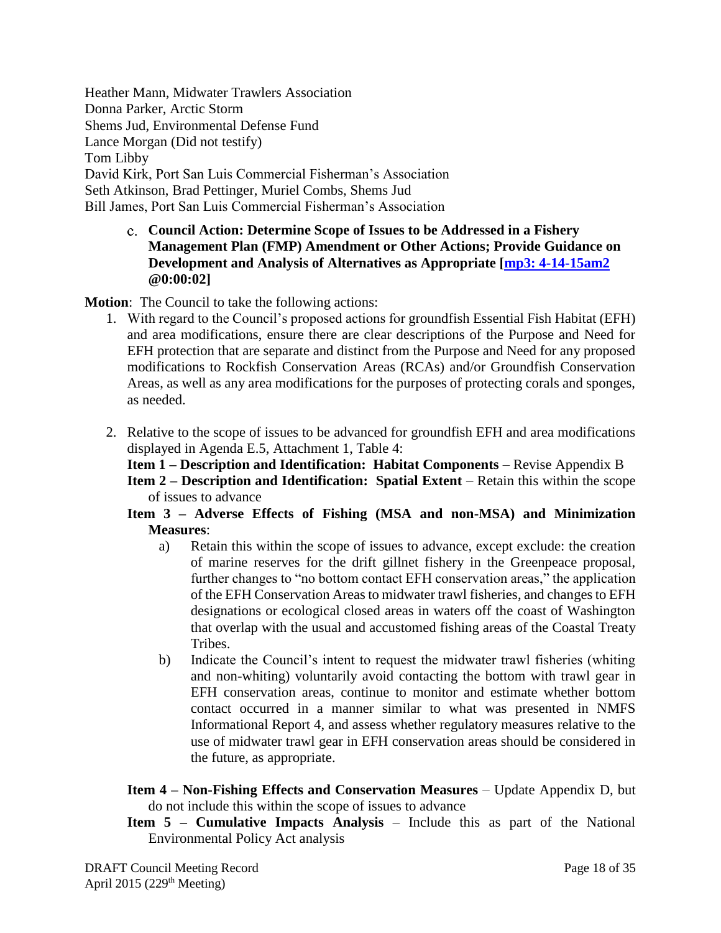Heather Mann, Midwater Trawlers Association Donna Parker, Arctic Storm Shems Jud, Environmental Defense Fund Lance Morgan (Did not testify) Tom Libby David Kirk, Port San Luis Commercial Fisherman's Association Seth Atkinson, Brad Pettinger, Muriel Combs, Shems Jud Bill James, Port San Luis Commercial Fisherman's Association

> <span id="page-17-0"></span>**Council Action: Determine Scope of Issues to be Addressed in a Fishery Management Plan (FMP) Amendment or Other Actions; Provide Guidance on Development and Analysis of Alternatives as Appropriate [\[mp3: 4-14-15am2](ftp://ftp.pcouncil.org/pub/R1504_April_2015_Recordings/4-14-15am2Copy.mp3) @0:00:02]**

**Motion**: The Council to take the following actions:

- 1. With regard to the Council's proposed actions for groundfish Essential Fish Habitat (EFH) and area modifications, ensure there are clear descriptions of the Purpose and Need for EFH protection that are separate and distinct from the Purpose and Need for any proposed modifications to Rockfish Conservation Areas (RCAs) and/or Groundfish Conservation Areas, as well as any area modifications for the purposes of protecting corals and sponges, as needed.
- 2. Relative to the scope of issues to be advanced for groundfish EFH and area modifications displayed in Agenda E.5, Attachment 1, Table 4:
	- **Item 1 – Description and Identification: Habitat Components** Revise Appendix B
	- **Item 2 – Description and Identification: Spatial Extent** Retain this within the scope of issues to advance
	- **Item 3 – Adverse Effects of Fishing (MSA and non-MSA) and Minimization Measures**:
		- a) Retain this within the scope of issues to advance, except exclude: the creation of marine reserves for the drift gillnet fishery in the Greenpeace proposal, further changes to "no bottom contact EFH conservation areas," the application of the EFH Conservation Areas to midwater trawl fisheries, and changes to EFH designations or ecological closed areas in waters off the coast of Washington that overlap with the usual and accustomed fishing areas of the Coastal Treaty Tribes.
		- b) Indicate the Council's intent to request the midwater trawl fisheries (whiting and non-whiting) voluntarily avoid contacting the bottom with trawl gear in EFH conservation areas, continue to monitor and estimate whether bottom contact occurred in a manner similar to what was presented in NMFS Informational Report 4, and assess whether regulatory measures relative to the use of midwater trawl gear in EFH conservation areas should be considered in the future, as appropriate.
	- **Item 4 – Non-Fishing Effects and Conservation Measures** Update Appendix D, but do not include this within the scope of issues to advance
	- **Item 5 – Cumulative Impacts Analysis** Include this as part of the National Environmental Policy Act analysis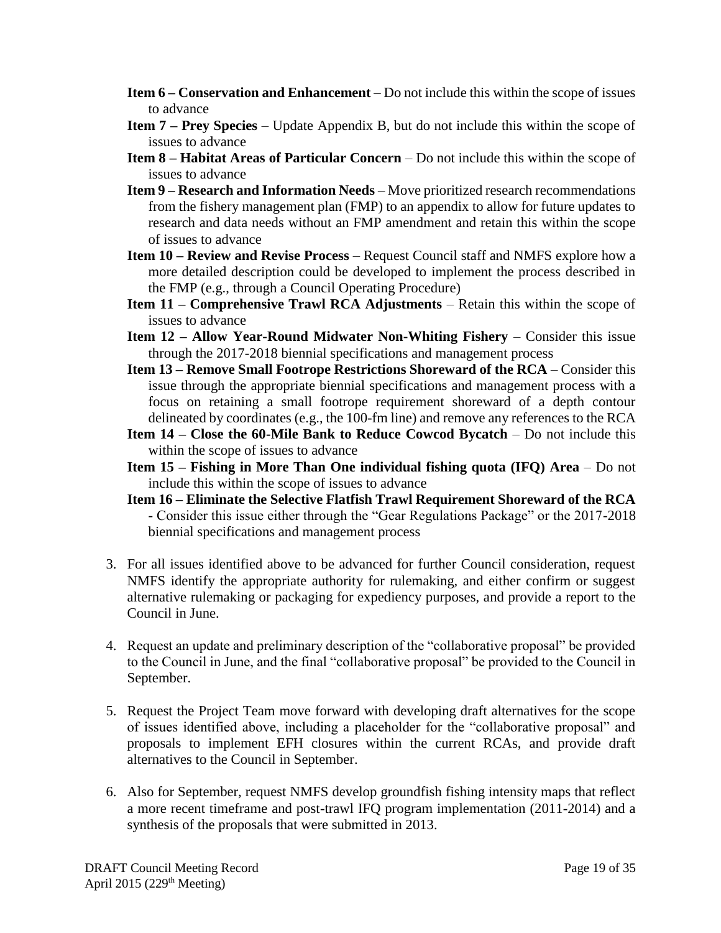- **Item 6 – Conservation and Enhancement** Do not include this within the scope of issues to advance
- **Item 7 – Prey Species** Update Appendix B, but do not include this within the scope of issues to advance
- **Item 8 – Habitat Areas of Particular Concern**  Do not include this within the scope of issues to advance
- **Item 9 – Research and Information Needs** Move prioritized research recommendations from the fishery management plan (FMP) to an appendix to allow for future updates to research and data needs without an FMP amendment and retain this within the scope of issues to advance
- **Item 10 – Review and Revise Process** Request Council staff and NMFS explore how a more detailed description could be developed to implement the process described in the FMP (e.g., through a Council Operating Procedure)
- **Item 11 – Comprehensive Trawl RCA Adjustments** Retain this within the scope of issues to advance
- **Item 12 – Allow Year-Round Midwater Non-Whiting Fishery** Consider this issue through the 2017-2018 biennial specifications and management process
- **Item 13 – Remove Small Footrope Restrictions Shoreward of the RCA** Consider this issue through the appropriate biennial specifications and management process with a focus on retaining a small footrope requirement shoreward of a depth contour delineated by coordinates (e.g., the 100-fm line) and remove any references to the RCA
- **Item 14 – Close the 60-Mile Bank to Reduce Cowcod Bycatch** Do not include this within the scope of issues to advance
- **Item 15 – Fishing in More Than One individual fishing quota (IFQ) Area** Do not include this within the scope of issues to advance
- **Item 16 – Eliminate the Selective Flatfish Trawl Requirement Shoreward of the RCA** - Consider this issue either through the "Gear Regulations Package" or the 2017-2018 biennial specifications and management process
- 3. For all issues identified above to be advanced for further Council consideration, request NMFS identify the appropriate authority for rulemaking, and either confirm or suggest alternative rulemaking or packaging for expediency purposes, and provide a report to the Council in June.
- 4. Request an update and preliminary description of the "collaborative proposal" be provided to the Council in June, and the final "collaborative proposal" be provided to the Council in September.
- 5. Request the Project Team move forward with developing draft alternatives for the scope of issues identified above, including a placeholder for the "collaborative proposal" and proposals to implement EFH closures within the current RCAs, and provide draft alternatives to the Council in September.
- 6. Also for September, request NMFS develop groundfish fishing intensity maps that reflect a more recent timeframe and post-trawl IFQ program implementation (2011-2014) and a synthesis of the proposals that were submitted in 2013.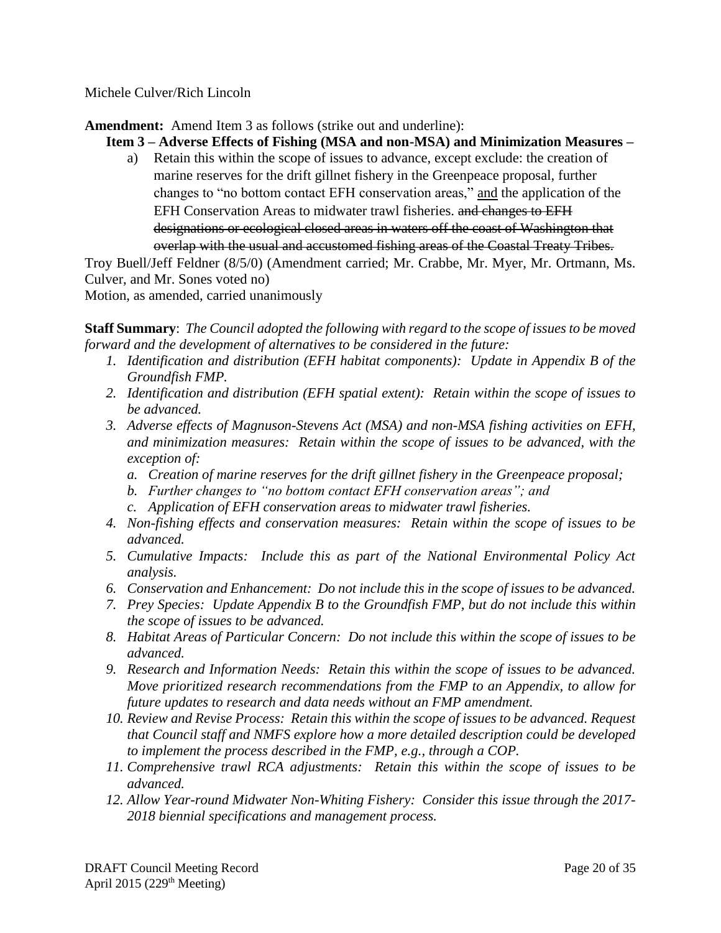Michele Culver/Rich Lincoln

**Amendment:** Amend Item 3 as follows (strike out and underline):

**Item 3 – Adverse Effects of Fishing (MSA and non-MSA) and Minimization Measures –**

a) Retain this within the scope of issues to advance, except exclude: the creation of marine reserves for the drift gillnet fishery in the Greenpeace proposal, further changes to "no bottom contact EFH conservation areas," and the application of the EFH Conservation Areas to midwater trawl fisheries. and changes to EFH designations or ecological closed areas in waters off the coast of Washington that overlap with the usual and accustomed fishing areas of the Coastal Treaty Tribes.

Troy Buell/Jeff Feldner (8/5/0) (Amendment carried; Mr. Crabbe, Mr. Myer, Mr. Ortmann, Ms. Culver, and Mr. Sones voted no)

Motion, as amended, carried unanimously

**Staff Summary**: *The Council adopted the following with regard to the scope of issues to be moved forward and the development of alternatives to be considered in the future:*

- *1. Identification and distribution (EFH habitat components): Update in Appendix B of the Groundfish FMP.*
- *2. Identification and distribution (EFH spatial extent): Retain within the scope of issues to be advanced.*
- *3. Adverse effects of Magnuson-Stevens Act (MSA) and non-MSA fishing activities on EFH, and minimization measures: Retain within the scope of issues to be advanced, with the exception of:*
	- *a. Creation of marine reserves for the drift gillnet fishery in the Greenpeace proposal;*
	- *b. Further changes to "no bottom contact EFH conservation areas"; and*
	- *c. Application of EFH conservation areas to midwater trawl fisheries.*
- *4. Non-fishing effects and conservation measures: Retain within the scope of issues to be advanced.*
- *5. Cumulative Impacts: Include this as part of the National Environmental Policy Act analysis.*
- *6. Conservation and Enhancement: Do not include this in the scope of issues to be advanced.*
- *7. Prey Species: Update Appendix B to the Groundfish FMP, but do not include this within the scope of issues to be advanced.*
- *8. Habitat Areas of Particular Concern: Do not include this within the scope of issues to be advanced.*
- *9. Research and Information Needs: Retain this within the scope of issues to be advanced. Move prioritized research recommendations from the FMP to an Appendix, to allow for future updates to research and data needs without an FMP amendment.*
- *10. Review and Revise Process: Retain this within the scope of issues to be advanced. Request that Council staff and NMFS explore how a more detailed description could be developed to implement the process described in the FMP, e.g., through a COP.*
- *11. Comprehensive trawl RCA adjustments: Retain this within the scope of issues to be advanced.*
- *12. Allow Year-round Midwater Non-Whiting Fishery: Consider this issue through the 2017- 2018 biennial specifications and management process.*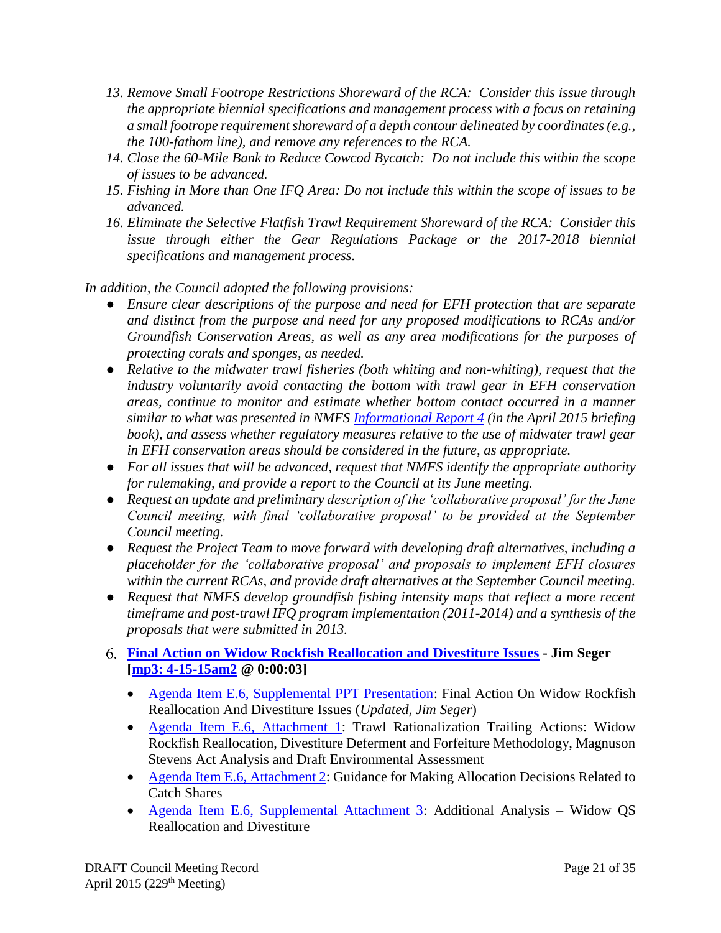- *13. Remove Small Footrope Restrictions Shoreward of the RCA: Consider this issue through the appropriate biennial specifications and management process with a focus on retaining a small footrope requirement shoreward of a depth contour delineated by coordinates (e.g., the 100-fathom line), and remove any references to the RCA.*
- *14. Close the 60-Mile Bank to Reduce Cowcod Bycatch: Do not include this within the scope of issues to be advanced.*
- *15. Fishing in More than One IFQ Area: Do not include this within the scope of issues to be advanced.*
- *16. Eliminate the Selective Flatfish Trawl Requirement Shoreward of the RCA: Consider this*  issue through either the Gear Regulations Package or the 2017-2018 biennial *specifications and management process.*

*In addition, the Council adopted the following provisions:*

- *Ensure clear descriptions of the purpose and need for EFH protection that are separate and distinct from the purpose and need for any proposed modifications to RCAs and/or Groundfish Conservation Areas, as well as any area modifications for the purposes of protecting corals and sponges, as needed.*
- *Relative to the midwater trawl fisheries (both whiting and non-whiting), request that the industry voluntarily avoid contacting the bottom with trawl gear in EFH conservation areas, continue to monitor and estimate whether bottom contact occurred in a manner similar to what was presented in NMFS [Informational Report 4](http://www.pcouncil.org/wp-content/uploads/2015/03/IR4_Groundfish_EFH_midwater_trawl_bottom_contact_Rpt_APR2015BB.pdf) (in the April 2015 briefing book), and assess whether regulatory measures relative to the use of midwater trawl gear in EFH conservation areas should be considered in the future, as appropriate.*
- *For all issues that will be advanced, request that NMFS identify the appropriate authority for rulemaking, and provide a report to the Council at its June meeting.*
- *Request an update and preliminary description of the 'collaborative proposal' for the June Council meeting, with final 'collaborative proposal' to be provided at the September Council meeting.*
- *Request the Project Team to move forward with developing draft alternatives, including a placeholder for the 'collaborative proposal' and proposals to implement EFH closures within the current RCAs, and provide draft alternatives at the September Council meeting.*
- *Request that NMFS develop groundfish fishing intensity maps that reflect a more recent timeframe and post-trawl IFQ program implementation (2011-2014) and a synthesis of the proposals that were submitted in 2013.*

# <span id="page-20-0"></span>**[Final Action on Widow Rockfish Reallocation and Divestiture Issues](http://www.pcouncil.org/wp-content/uploads/2015/03/E6_SitSum_WidowRealloc_APR2015BB.pdf) - Jim Seger [\[mp3: 4-15-15am2](ftp://ftp.pcouncil.org/pub/R1504_April_2015_Recordings/4-15-15am2Copy.mp3) @ 0:00:03]**

- [Agenda Item E.6, Supplemental PPT Presentation:](http://www.pcouncil.org/wp-content/uploads/2015/04/E6_SupPPT_Updated_APR2015BB.pdf) Final Action On Widow Rockfish Reallocation And Divestiture Issues (*Updated, Jim Seger*)
- [Agenda Item E.6, Attachment 1:](http://www.pcouncil.org/wp-content/uploads/2015/03/E6_Att1_WidowRF_DecisionDoc_APR2015BB.pdf) Trawl Rationalization Trailing Actions: Widow Rockfish Reallocation, Divestiture Deferment and Forfeiture Methodology, Magnuson Stevens Act Analysis and Draft Environmental Assessment
- [Agenda Item E.6, Attachment 2:](http://www.pcouncil.org/wp-content/uploads/2015/03/E6_Att2_AllocGuidance_APR2015BB.pdf) Guidance for Making Allocation Decisions Related to Catch Shares
- [Agenda Item E.6, Supplemental Attachment 3:](http://www.pcouncil.org/wp-content/uploads/2015/04/E6_SupAtt3_WidowRF_DecisionDoc_APR2015BB.pdf) Additional Analysis Widow QS Reallocation and Divestiture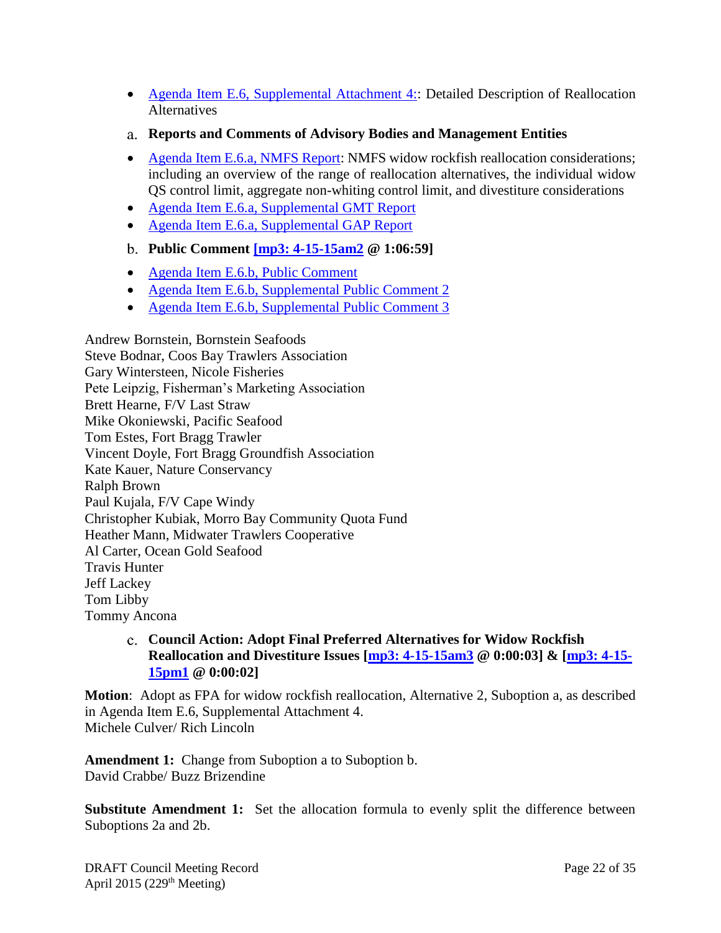- [Agenda Item E.6, Supplemental Attachment 4::](http://www.pcouncil.org/wp-content/uploads/2015/04/E6_SupAtt4_WidowRF_AlternativesFINAL_APR2015BB.pdf) Detailed Description of Reallocation **Alternatives**
- <span id="page-21-0"></span>**Reports and Comments of Advisory Bodies and Management Entities**
- [Agenda Item E.6.a, NMFS Report:](http://www.pcouncil.org/wp-content/uploads/2015/03/E6a_NMFS_Rpt_APR2015BB.pdf) NMFS widow rockfish reallocation considerations; including an overview of the range of reallocation alternatives, the individual widow QS control limit, aggregate non-whiting control limit, and divestiture considerations
- [Agenda Item E.6.a, Supplemental GMT Report](http://www.pcouncil.org/wp-content/uploads/2015/04/E6a_SupGMT_Rpt_APR2015BB.pdf)
- [Agenda Item E.6.a, Supplemental GAP Report](http://www.pcouncil.org/wp-content/uploads/2015/04/E6a_SupGAP_Rpt_APR2015BB.pdf)

### <span id="page-21-1"></span>**Public Comment [\[mp3: 4-15-15am2](ftp://ftp.pcouncil.org/pub/R1504_April_2015_Recordings/4-15-15am2Copy.mp3) @ 1:06:59]**

- [Agenda Item E.6.b, Public Comment](http://www.pcouncil.org/wp-content/uploads/2015/03/E6b_PubCom_APR2015BB.pdf)
- [Agenda Item E.6.b, Supplemental Public Comment 2](http://www.pcouncil.org/wp-content/uploads/2015/04/E6b_SupPubCom2_APR2015BB.pdf)
- [Agenda Item E.6.b, Supplemental Public Comment 3](http://www.pcouncil.org/wp-content/uploads/2015/04/E6b_SupPubCom3_APR2015BB.pdf)

Andrew Bornstein, Bornstein Seafoods Steve Bodnar, Coos Bay Trawlers Association Gary Wintersteen, Nicole Fisheries Pete Leipzig, Fisherman's Marketing Association Brett Hearne, F/V Last Straw Mike Okoniewski, Pacific Seafood Tom Estes, Fort Bragg Trawler Vincent Doyle, Fort Bragg Groundfish Association Kate Kauer, Nature Conservancy Ralph Brown Paul Kujala, F/V Cape Windy Christopher Kubiak, Morro Bay Community Quota Fund Heather Mann, Midwater Trawlers Cooperative Al Carter, Ocean Gold Seafood Travis Hunter Jeff Lackey Tom Libby Tommy Ancona

### <span id="page-21-2"></span>**Council Action: Adopt Final Preferred Alternatives for Widow Rockfish Reallocation and Divestiture Issues [\[mp3: 4-15-15am3](ftp://ftp.pcouncil.org/pub/R1504_April_2015_Recordings/4-15-15am3Copy.mp3) @ 0:00:03] & [\[mp3: 4-15-](ftp://ftp.pcouncil.org/pub/R1504_April_2015_Recordings/4-15-15pm1Copy.mp3) [15pm1](ftp://ftp.pcouncil.org/pub/R1504_April_2015_Recordings/4-15-15pm1Copy.mp3) @ 0:00:02]**

**Motion**: Adopt as FPA for widow rockfish reallocation, Alternative 2, Suboption a, as described in Agenda Item E.6, Supplemental Attachment 4. Michele Culver/ Rich Lincoln

**Amendment 1:** Change from Suboption a to Suboption b. David Crabbe/ Buzz Brizendine

**Substitute Amendment 1:** Set the allocation formula to evenly split the difference between Suboptions 2a and 2b.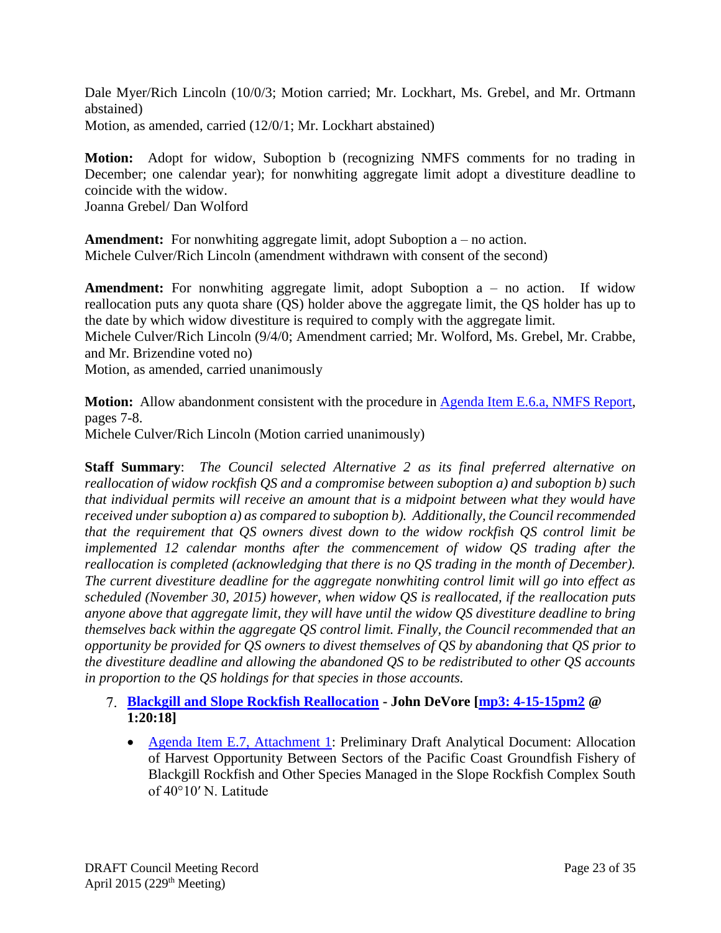Dale Myer/Rich Lincoln (10/0/3; Motion carried; Mr. Lockhart, Ms. Grebel, and Mr. Ortmann abstained) Motion, as amended, carried (12/0/1; Mr. Lockhart abstained)

**Motion:** Adopt for widow, Suboption b (recognizing NMFS comments for no trading in December; one calendar year); for nonwhiting aggregate limit adopt a divestiture deadline to coincide with the widow.

Joanna Grebel/ Dan Wolford

**Amendment:** For nonwhiting aggregate limit, adopt Suboption a – no action. Michele Culver/Rich Lincoln (amendment withdrawn with consent of the second)

**Amendment:** For nonwhiting aggregate limit, adopt Suboption a – no action. If widow reallocation puts any quota share (QS) holder above the aggregate limit, the QS holder has up to the date by which widow divestiture is required to comply with the aggregate limit.

Michele Culver/Rich Lincoln (9/4/0; Amendment carried; Mr. Wolford, Ms. Grebel, Mr. Crabbe, and Mr. Brizendine voted no)

Motion, as amended, carried unanimously

**Motion:** Allow abandonment consistent with the procedure in [Agenda Item E.6.a, NMFS Report,](http://www.pcouncil.org/wp-content/uploads/2015/03/E6a_NMFS_Rpt_APR2015BB.pdf) pages 7-8.

Michele Culver/Rich Lincoln (Motion carried unanimously)

**Staff Summary**: *The Council selected Alternative 2 as its final preferred alternative on reallocation of widow rockfish QS and a compromise between suboption a) and suboption b) such that individual permits will receive an amount that is a midpoint between what they would have received under suboption a) as compared to suboption b). Additionally, the Council recommended that the requirement that QS owners divest down to the widow rockfish QS control limit be implemented 12 calendar months after the commencement of widow QS trading after the reallocation is completed (acknowledging that there is no QS trading in the month of December). The current divestiture deadline for the aggregate nonwhiting control limit will go into effect as scheduled (November 30, 2015) however, when widow QS is reallocated, if the reallocation puts anyone above that aggregate limit, they will have until the widow QS divestiture deadline to bring themselves back within the aggregate QS control limit. Finally, the Council recommended that an opportunity be provided for QS owners to divest themselves of QS by abandoning that QS prior to the divestiture deadline and allowing the abandoned QS to be redistributed to other QS accounts in proportion to the QS holdings for that species in those accounts.*

- <span id="page-22-0"></span>**[Blackgill and Slope Rockfish Reallocation](http://www.pcouncil.org/wp-content/uploads/2015/03/E7_SitSum_BgillReallocation_APR2015BB.pdf) - John DeVore [\[mp3: 4-15-15pm2](ftp://ftp.pcouncil.org/pub/R1504_April_2015_Recordings/4-15-15pm2Copy.mp3) @ 1:20:18]**
	- [Agenda Item E.7, Attachment 1:](http://www.pcouncil.org/wp-content/uploads/2015/03/E7_Att1_BGill_Allocation_EA_APR2015BB.pdf) Preliminary Draft Analytical Document: Allocation of Harvest Opportunity Between Sectors of the Pacific Coast Groundfish Fishery of Blackgill Rockfish and Other Species Managed in the Slope Rockfish Complex South of 40°10′ N. Latitude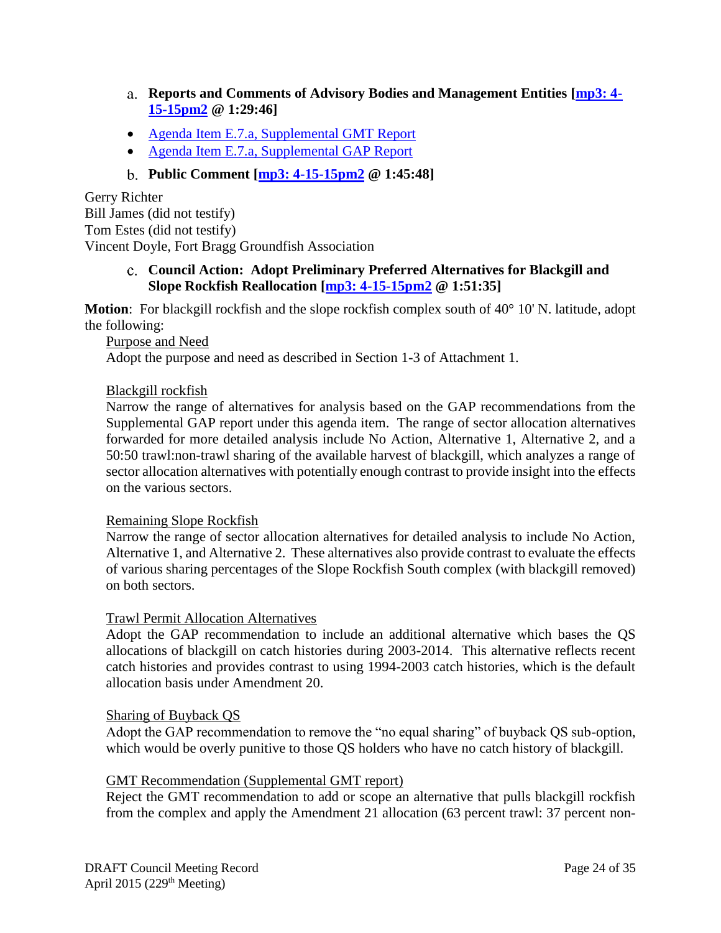- <span id="page-23-0"></span>**Reports and Comments of Advisory Bodies and Management Entities [\[mp3: 4-](ftp://ftp.pcouncil.org/pub/R1504_April_2015_Recordings/4-15-15pm2Copy.mp3) [15-15pm2](ftp://ftp.pcouncil.org/pub/R1504_April_2015_Recordings/4-15-15pm2Copy.mp3) @ 1:29:46]**
- [Agenda Item E.7.a, Supplemental GMT](http://www.pcouncil.org/wp-content/uploads/2015/04/E7a_SupGMT_Rpt_APR2015BB.pdf) Report
- [Agenda Item E.7.a, Supplemental GAP Report](http://www.pcouncil.org/wp-content/uploads/2015/04/E7a_SupGAP_Rpt_APR2015BB.pdf)

# **Public Comment [\[mp3: 4-15-15pm2](ftp://ftp.pcouncil.org/pub/R1504_April_2015_Recordings/4-15-15pm2Copy.mp3) @ 1:45:48]**

<span id="page-23-1"></span>Gerry Richter Bill James (did not testify) Tom Estes (did not testify) Vincent Doyle, Fort Bragg Groundfish Association

### <span id="page-23-2"></span>**Council Action: Adopt Preliminary Preferred Alternatives for Blackgill and Slope Rockfish Reallocation [\[mp3: 4-15-15pm2](ftp://ftp.pcouncil.org/pub/R1504_April_2015_Recordings/4-15-15pm2Copy.mp3) @ 1:51:35]**

**Motion**: For blackgill rockfish and the slope rockfish complex south of 40° 10' N. latitude, adopt the following:

Purpose and Need

Adopt the purpose and need as described in Section 1-3 of Attachment 1.

#### Blackgill rockfish

Narrow the range of alternatives for analysis based on the GAP recommendations from the Supplemental GAP report under this agenda item. The range of sector allocation alternatives forwarded for more detailed analysis include No Action, Alternative 1, Alternative 2, and a 50:50 trawl:non-trawl sharing of the available harvest of blackgill, which analyzes a range of sector allocation alternatives with potentially enough contrast to provide insight into the effects on the various sectors.

#### Remaining Slope Rockfish

Narrow the range of sector allocation alternatives for detailed analysis to include No Action, Alternative 1, and Alternative 2. These alternatives also provide contrast to evaluate the effects of various sharing percentages of the Slope Rockfish South complex (with blackgill removed) on both sectors.

#### Trawl Permit Allocation Alternatives

Adopt the GAP recommendation to include an additional alternative which bases the QS allocations of blackgill on catch histories during 2003-2014. This alternative reflects recent catch histories and provides contrast to using 1994-2003 catch histories, which is the default allocation basis under Amendment 20.

#### Sharing of Buyback QS

Adopt the GAP recommendation to remove the "no equal sharing" of buyback QS sub-option, which would be overly punitive to those QS holders who have no catch history of blackgill.

#### GMT Recommendation (Supplemental GMT report)

Reject the GMT recommendation to add or scope an alternative that pulls blackgill rockfish from the complex and apply the Amendment 21 allocation (63 percent trawl: 37 percent non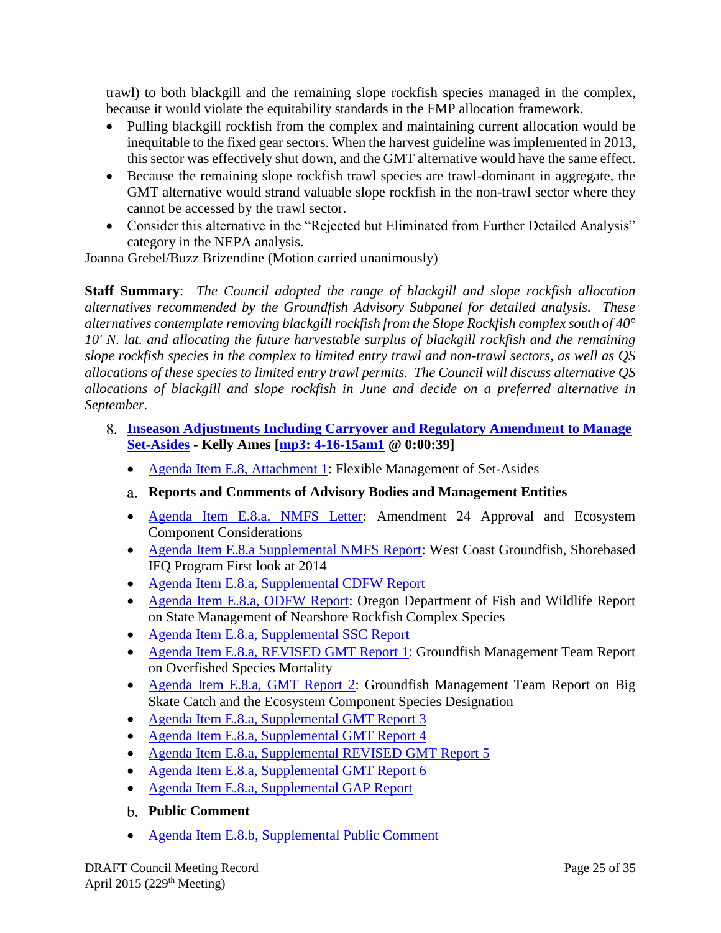trawl) to both blackgill and the remaining slope rockfish species managed in the complex, because it would violate the equitability standards in the FMP allocation framework.

- Pulling blackgill rockfish from the complex and maintaining current allocation would be inequitable to the fixed gear sectors. When the harvest guideline was implemented in 2013, this sector was effectively shut down, and the GMT alternative would have the same effect.
- Because the remaining slope rockfish trawl species are trawl-dominant in aggregate, the GMT alternative would strand valuable slope rockfish in the non-trawl sector where they cannot be accessed by the trawl sector.
- Consider this alternative in the "Rejected but Eliminated from Further Detailed Analysis" category in the NEPA analysis.

Joanna Grebel/Buzz Brizendine (Motion carried unanimously)

**Staff Summary**: *The Council adopted the range of blackgill and slope rockfish allocation alternatives recommended by the Groundfish Advisory Subpanel for detailed analysis. These alternatives contemplate removing blackgill rockfish from the Slope Rockfish complex south of 40° 10' N. lat. and allocating the future harvestable surplus of blackgill rockfish and the remaining slope rockfish species in the complex to limited entry trawl and non-trawl sectors, as well as QS allocations of these species to limited entry trawl permits. The Council will discuss alternative QS allocations of blackgill and slope rockfish in June and decide on a preferred alternative in September.*

- <span id="page-24-2"></span><span id="page-24-1"></span><span id="page-24-0"></span>**[Inseason Adjustments Including Carryover and Regulatory Amendment to Manage](http://www.pcouncil.org/wp-content/uploads/2015/03/E8_SitSum_Inseason_APR2015BB.pdf)  [Set-Asides](http://www.pcouncil.org/wp-content/uploads/2015/03/E8_SitSum_Inseason_APR2015BB.pdf) - Kelly Ames [\[mp3: 4-16-15am1](ftp://ftp.pcouncil.org/pub/R1504_April_2015_Recordings/4-16-15am1Copy.mp3) @ 0:00:39]**
	- [Agenda Item E.8, Attachment 1:](http://www.pcouncil.org/wp-content/uploads/2015/03/E8_Att1_SetAsideMgt_APR2015BB.pdf) Flexible Management of Set-Asides
	- **Reports and Comments of Advisory Bodies and Management Entities**
	- [Agenda Item E.8.a, NMFS Letter:](http://www.pcouncil.org/wp-content/uploads/2015/03/E8a_NMFS_Ltr_APR2015BB.pdf) Amendment 24 Approval and Ecosystem Component Considerations
	- [Agenda Item E.8.a Supplemental NMFS Report:](http://www.pcouncil.org/wp-content/uploads/2015/04/E8a_SupNMFS_Rpt_IFQ_APR2015BB.pdf) West Coast Groundfish, Shorebased IFQ Program First look at 2014
	- [Agenda Item E.8.a, Supplemental CDFW Report](http://www.pcouncil.org/wp-content/uploads/2015/04/E8a_SupCDFW_Rpt_APR2015BB.pdf)
	- [Agenda Item E.8.a, ODFW Report:](http://www.pcouncil.org/wp-content/uploads/2015/03/E8a_ODFW_Rpt_APR2015BB.pdf) Oregon Department of Fish and Wildlife Report on State Management of Nearshore Rockfish Complex Species
	- [Agenda Item E.8.a, Supplemental SSC Report](http://www.pcouncil.org/wp-content/uploads/2015/04/E8a_SupSSC_Rpt_APR2015BB.pdf)
	- [Agenda Item E.8.a, REVISED GMT Report 1:](http://www.pcouncil.org/wp-content/uploads/2015/03/E8a_GMT_Rpt1_OFS_APR2015BB.pdf) Groundfish Management Team Report on Overfished Species Mortality
	- [Agenda Item E.8.a, GMT Report 2:](http://www.pcouncil.org/wp-content/uploads/2015/03/E8a_GMT_Rpt2_EC_APR2015BB.pdf) Groundfish Management Team Report on Big Skate Catch and the Ecosystem Component Species Designation
	- [Agenda Item E.8.a, Supplemental GMT Report 3](http://www.pcouncil.org/wp-content/uploads/2015/04/E8a_SupGMT_Rpt3_APR2015BB.pdf)
	- [Agenda Item E.8.a, Supplemental GMT Report 4](http://www.pcouncil.org/wp-content/uploads/2015/04/E8a_SupGMT_Rpt4_APR2015BB.pdf)
	- [Agenda Item E.8.a, Supplemental](http://www.pcouncil.org/wp-content/uploads/2015/04/E8a_SupGMT_Rpt5_APR2015BB.pdf) REVISED GMT Report 5
	- [Agenda Item E.8.a, Supplemental GMT Report 6](http://www.pcouncil.org/wp-content/uploads/2015/04/E8a_SupGMT_Rpt6_APR2015BB.pdf)
	- [Agenda Item E.8.a, Supplemental GAP Report](http://www.pcouncil.org/wp-content/uploads/2015/04/E8a_SupGAP_Rpt_APR2015BB.pdf)
	- **Public Comment**
	- [Agenda Item E.8.b, Supplemental Public Comment](http://www.pcouncil.org/wp-content/uploads/2015/04/E8b_SupPubCom_APR2015BB.pdf)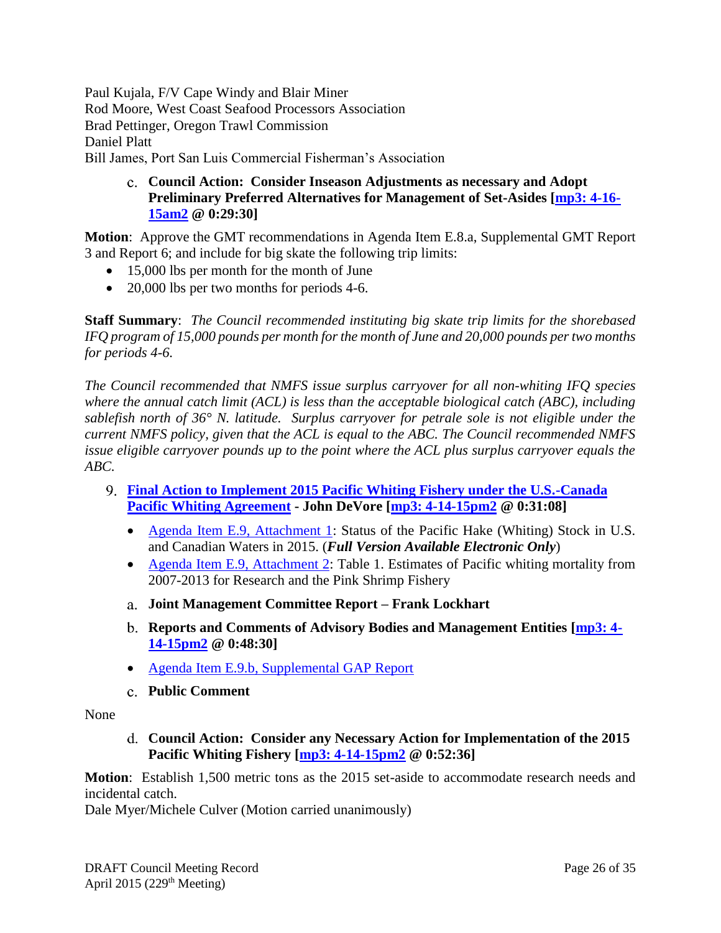Paul Kujala, F/V Cape Windy and Blair Miner Rod Moore, West Coast Seafood Processors Association Brad Pettinger, Oregon Trawl Commission Daniel Platt Bill James, Port San Luis Commercial Fisherman's Association

> <span id="page-25-0"></span>**Council Action: Consider Inseason Adjustments as necessary and Adopt Preliminary Preferred Alternatives for Management of Set-Asides [\[mp3: 4-16-](ftp://ftp.pcouncil.org/pub/R1504_April_2015_Recordings/4-16-15am2Copy.mp3) [15am2](ftp://ftp.pcouncil.org/pub/R1504_April_2015_Recordings/4-16-15am2Copy.mp3) @ 0:29:30]**

**Motion**: Approve the GMT recommendations in Agenda Item E.8.a, Supplemental GMT Report 3 and Report 6; and include for big skate the following trip limits:

- 15,000 lbs per month for the month of June
- 20,000 lbs per two months for periods 4-6.

**Staff Summary**: *The Council recommended instituting big skate trip limits for the shorebased IFQ program of 15,000 pounds per month for the month of June and 20,000 pounds per two months for periods 4-6.*

*The Council recommended that NMFS issue surplus carryover for all non-whiting IFQ species where the annual catch limit (ACL) is less than the acceptable biological catch (ABC), including sablefish north of 36° N. latitude. Surplus carryover for petrale sole is not eligible under the current NMFS policy, given that the ACL is equal to the ABC. The Council recommended NMFS issue eligible carryover pounds up to the point where the ACL plus surplus carryover equals the ABC.*

- <span id="page-25-2"></span><span id="page-25-1"></span>**[Final Action to Implement 2015 Pacific Whiting Fishery under the U.S.-Canada](http://www.pcouncil.org/wp-content/uploads/2015/03/E9_SitSum_Whiting_APR2015BB.pdf)  [Pacific Whiting Agreement](http://www.pcouncil.org/wp-content/uploads/2015/03/E9_SitSum_Whiting_APR2015BB.pdf) - John DeVore [\[mp3: 4-14-15pm2](ftp://ftp.pcouncil.org/pub/R1504_April_2015_Recordings/4-14-15pm2Copy.mp3) @ 0:31:08]**
	- [Agenda Item E.9, Attachment 1:](http://www.pcouncil.org/wp-content/uploads/2015/03/E9_Att1_Pacific_Whiting_2015_Full_E-ONLY_APR2015BB.pdf) Status of the Pacific Hake (Whiting) Stock in U.S. and Canadian Waters in 2015. (*Full Version Available Electronic Only*)
	- [Agenda Item E.9, Attachment 2:](http://www.pcouncil.org/wp-content/uploads/2015/03/E9_Att2_Whiting_SetAside_HistoricalData_APR2015BB.pdf) Table 1. Estimates of Pacific whiting mortality from 2007-2013 for Research and the Pink Shrimp Fishery
	- **Joint Management Committee Report – Frank Lockhart**
	- **Reports and Comments of Advisory Bodies and Management Entities [\[mp3: 4-](ftp://ftp.pcouncil.org/pub/R1504_April_2015_Recordings/4-14-15pm2Copy.mp3) [14-15pm2](ftp://ftp.pcouncil.org/pub/R1504_April_2015_Recordings/4-14-15pm2Copy.mp3) @ 0:48:30]**
	- [Agenda Item E.9.b, Supplemental GAP Report](http://www.pcouncil.org/wp-content/uploads/2015/04/E9b_SupGAP_Rpt_APR2015BB.pdf)
	- **Public Comment**

<span id="page-25-5"></span><span id="page-25-4"></span><span id="page-25-3"></span>None

**Council Action: Consider any Necessary Action for Implementation of the 2015 Pacific Whiting Fishery [\[mp3: 4-14-15pm2](ftp://ftp.pcouncil.org/pub/R1504_April_2015_Recordings/4-14-15pm2Copy.mp3) @ 0:52:36]**

**Motion**: Establish 1,500 metric tons as the 2015 set-aside to accommodate research needs and incidental catch.

Dale Myer/Michele Culver (Motion carried unanimously)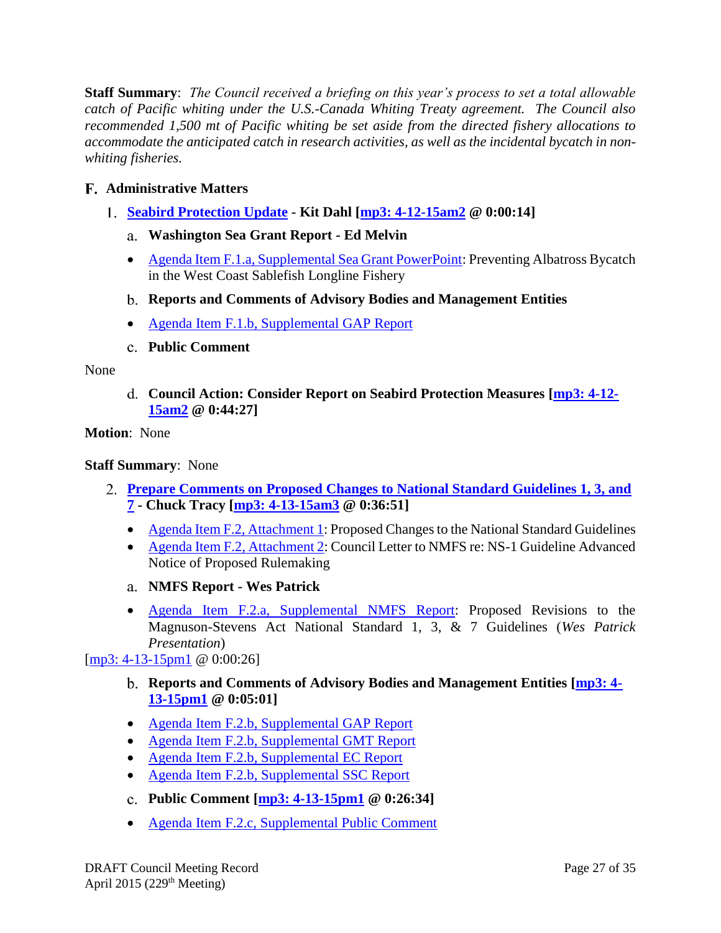**Staff Summary**: *The Council received a briefing on this year's process to set a total allowable catch of Pacific whiting under the U.S.-Canada Whiting Treaty agreement. The Council also recommended 1,500 mt of Pacific whiting be set aside from the directed fishery allocations to accommodate the anticipated catch in research activities, as well as the incidental bycatch in nonwhiting fisheries.*

# <span id="page-26-0"></span>**Administrative Matters**

- <span id="page-26-2"></span><span id="page-26-1"></span>**[Seabird Protection Update](http://www.pcouncil.org/wp-content/uploads/2015/03/F1_SitSum_SeabirdProtectionUpdate_APR2015BB.pdf) - Kit Dahl [\[mp3: 4-12-15am2](ftp://ftp.pcouncil.org/pub/R1504_April_2015_Recordings/4-12-15am2Copy.mp3) @ 0:00:14]**
	- **Washington Sea Grant Report - Ed Melvin**
	- [Agenda Item F.1.a, Supplemental Sea Grant PowerPoint:](http://www.pcouncil.org/wp-content/uploads/2015/04/F1a_SupSeaGrantPPT_Melvin_Seabirds_APR2015BB.pdf) Preventing Albatross Bycatch in the West Coast Sablefish Longline Fishery
	- **Reports and Comments of Advisory Bodies and Management Entities**
	- [Agenda Item F.1.b, Supplemental GAP Report](http://www.pcouncil.org/wp-content/uploads/2015/04/F1b_SupGAP_Rpt_APR2015BB.pdf)
	- **Public Comment**

#### <span id="page-26-5"></span><span id="page-26-4"></span><span id="page-26-3"></span>None

**Council Action: Consider Report on Seabird Protection Measures [\[mp3: 4-12-](ftp://ftp.pcouncil.org/pub/R1504_April_2015_Recordings/4-12-15am2Copy.mp3) [15am2](ftp://ftp.pcouncil.org/pub/R1504_April_2015_Recordings/4-12-15am2Copy.mp3) @ 0:44:27]**

### **Motion**: None

### **Staff Summary**: None

- <span id="page-26-6"></span>**[Prepare Comments on Proposed Changes to National Standard Guidelines 1, 3, and](http://www.pcouncil.org/wp-content/uploads/2015/03/F2_SitSum_NS137G_APR2015BB.pdf)  [7](http://www.pcouncil.org/wp-content/uploads/2015/03/F2_SitSum_NS137G_APR2015BB.pdf) - Chuck Tracy [\[mp3: 4-13-15am3](ftp://ftp.pcouncil.org/pub/R1504_April_2015_Recordings/4-13-15am3Copy.mp3) @ 0:36:51]**
	- [Agenda Item F.2, Attachment 1:](http://www.pcouncil.org/wp-content/uploads/2015/03/F2_Att1_NS137G_APR2015BB.pdf) Proposed Changes to the National Standard Guidelines
	- [Agenda Item F.2, Attachment 2:](http://www.pcouncil.org/wp-content/uploads/2015/03/F2_Att2_2012NS1G_PFMCcom_APR2015BB.pdf) Council Letter to NMFS re: NS-1 Guideline Advanced Notice of Proposed Rulemaking
	- **NMFS Report - Wes Patrick**
	- [Agenda Item F.2.a, Supplemental NMFS Report:](http://www.pcouncil.org/wp-content/uploads/2015/04/F2a_SupNMFS_Rpt_APR2015BB.pdf) Proposed Revisions to the Magnuson-Stevens Act National Standard 1, 3, & 7 Guidelines (*Wes Patrick Presentation*)

# <span id="page-26-8"></span><span id="page-26-7"></span>[\[mp3: 4-13-15pm1](ftp://ftp.pcouncil.org/pub/R1504_April_2015_Recordings/4-13-15pm1Copy.mp3) @ 0:00:26]

- **Reports and Comments of Advisory Bodies and Management Entities [\[mp3: 4-](ftp://ftp.pcouncil.org/pub/R1504_April_2015_Recordings/4-13-15pm1Copy.mp3) [13-15pm1](ftp://ftp.pcouncil.org/pub/R1504_April_2015_Recordings/4-13-15pm1Copy.mp3) @ 0:05:01]**
- [Agenda Item F.2.b, Supplemental GAP](http://www.pcouncil.org/wp-content/uploads/2015/04/F2b_SupGAP_Rpt_APR2015BB.pdf) Report
- [Agenda Item F.2.b, Supplemental GMT Report](http://www.pcouncil.org/wp-content/uploads/2015/04/F2b_SupGMT_Rpt_APR2015BB.pdf)
- [Agenda Item F.2.b, Supplemental EC Report](http://www.pcouncil.org/wp-content/uploads/2015/04/F2b_SupEC_Rpt_APR2015BB.pdf)
- [Agenda Item F.2.b, Supplemental SSC Report](http://www.pcouncil.org/wp-content/uploads/2015/04/F2b_SupSSC_Rpt_APR2015BB.pdf)
- <span id="page-26-9"></span>**Public Comment [\[mp3: 4-13-15pm1](ftp://ftp.pcouncil.org/pub/R1504_April_2015_Recordings/4-13-15pm1Copy.mp3) @ 0:26:34]**
- [Agenda Item F.2.c, Supplemental Public Comment](http://www.pcouncil.org/wp-content/uploads/2015/04/F2c_SupPubCom_APR2015BB.pdf)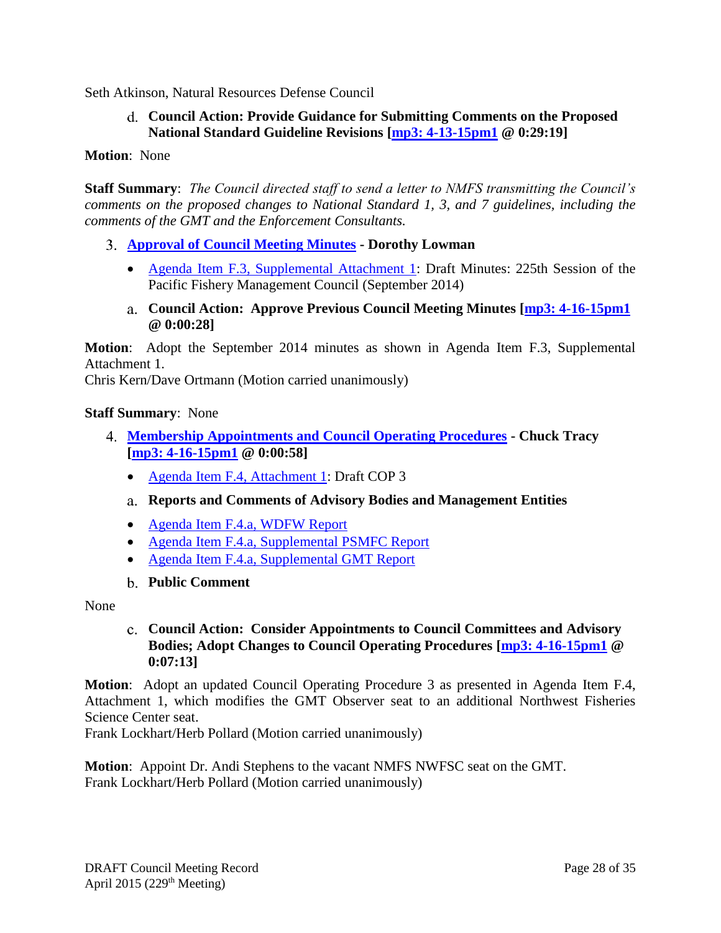<span id="page-27-0"></span>Seth Atkinson, Natural Resources Defense Council

# **Council Action: Provide Guidance for Submitting Comments on the Proposed National Standard Guideline Revisions [\[mp3: 4-13-15pm1](ftp://ftp.pcouncil.org/pub/R1504_April_2015_Recordings/4-13-15pm1Copy.mp3) @ 0:29:19]**

**Motion**: None

**Staff Summary**: *The Council directed staff to send a letter to NMFS transmitting the Council's comments on the proposed changes to National Standard 1, 3, and 7 guidelines, including the comments of the GMT and the Enforcement Consultants.*

- <span id="page-27-1"></span>**[Approval of Council Meeting Minutes](http://www.pcouncil.org/wp-content/uploads/2015/03/F3_SitSumMinutes_APR2015BB.pdf) - Dorothy Lowman** 
	- [Agenda Item F.3, Supplemental Attachment 1:](http://www.pcouncil.org/wp-content/uploads/2015/04/F3_SupAtt1_DraftSept14Minutes_APR2015BB.pdf) Draft Minutes: 225th Session of the Pacific Fishery Management Council (September 2014)
	- **Council Action: Approve Previous Council Meeting Minutes [\[mp3: 4-16-15pm1](ftp://ftp.pcouncil.org/pub/R1504_April_2015_Recordings/4-16-15pm1Copy.mp3) @ 0:00:28]**

<span id="page-27-2"></span>**Motion**: Adopt the September 2014 minutes as shown in Agenda Item F.3, Supplemental Attachment 1.

Chris Kern/Dave Ortmann (Motion carried unanimously)

#### **Staff Summary**: None

- <span id="page-27-4"></span><span id="page-27-3"></span>**[Membership Appointments and Council Operating Procedures](http://www.pcouncil.org/wp-content/uploads/2015/03/F4_SitSum_ApptsCOPs_APR2015BB.pdf) - Chuck Tracy [\[mp3: 4-16-15pm1](ftp://ftp.pcouncil.org/pub/R1504_April_2015_Recordings/4-16-15pm1Copy.mp3) @ 0:00:58]**
	- [Agenda Item F.4, Attachment 1:](http://www.pcouncil.org/wp-content/uploads/2015/03/F4_Att1_COP3_APR2015BB.pdf) Draft COP 3
	- **Reports and Comments of Advisory Bodies and Management Entities**
	- [Agenda Item F.4.a, WDFW Report](http://www.pcouncil.org/wp-content/uploads/2015/03/F4a_WDFW_Report_APR2015BB.pdf)
	- [Agenda Item F.4.a, Supplemental PSMFC Report](http://www.pcouncil.org/wp-content/uploads/2015/04/F4a_SupPSMFC_Rpt_APR2015BB.pdf)
	- [Agenda Item F.4.a, Supplemental GMT Report](http://www.pcouncil.org/wp-content/uploads/2015/04/F4a_SupGMT_Rpt_APR2015BB.pdf)
	- **Public Comment**

<span id="page-27-6"></span><span id="page-27-5"></span>None

### **Council Action: Consider Appointments to Council Committees and Advisory Bodies; Adopt Changes to Council Operating Procedures [\[mp3: 4-16-15pm1](ftp://ftp.pcouncil.org/pub/R1504_April_2015_Recordings/4-16-15pm1Copy.mp3) @ 0:07:13]**

**Motion**: Adopt an updated Council Operating Procedure 3 as presented in Agenda Item F.4, Attachment 1, which modifies the GMT Observer seat to an additional Northwest Fisheries Science Center seat.

Frank Lockhart/Herb Pollard (Motion carried unanimously)

**Motion**: Appoint Dr. Andi Stephens to the vacant NMFS NWFSC seat on the GMT. Frank Lockhart/Herb Pollard (Motion carried unanimously)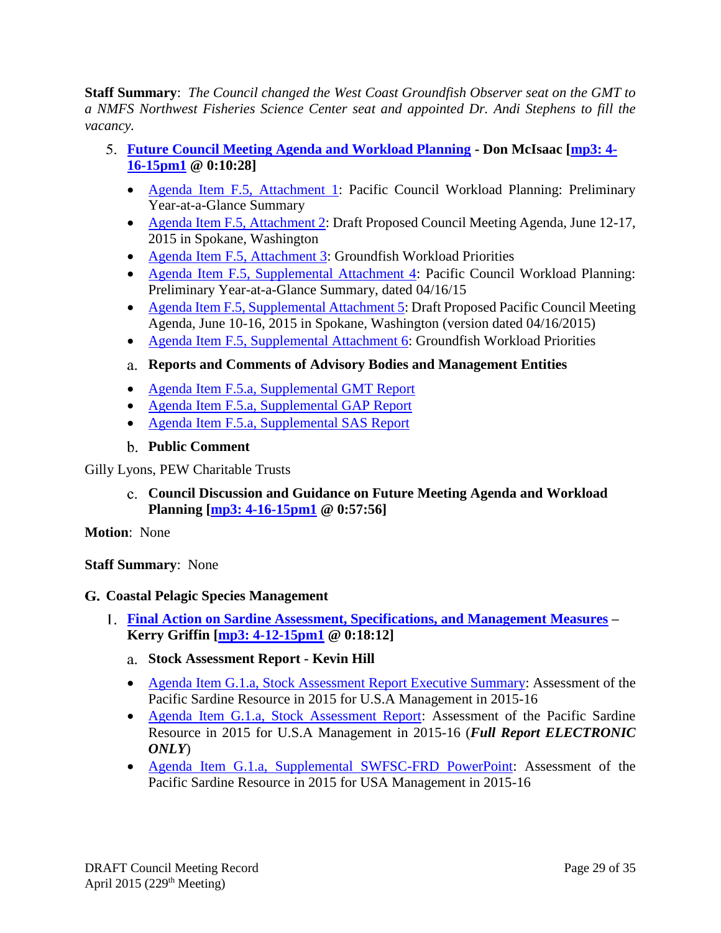**Staff Summary**: *The Council changed the West Coast Groundfish Observer seat on the GMT to a NMFS Northwest Fisheries Science Center seat and appointed Dr. Andi Stephens to fill the vacancy.*

- <span id="page-28-0"></span>**[Future Council Meeting Agenda and Workload Planning](http://www.pcouncil.org/wp-content/uploads/2015/03/F5_SitSum_CMAgendaPlanning_APR2015BB.pdf) - Don McIsaac [\[mp3: 4-](ftp://ftp.pcouncil.org/pub/R1504_April_2015_Recordings/4-16-15pm1Copy.mp3) [16-15pm1](ftp://ftp.pcouncil.org/pub/R1504_April_2015_Recordings/4-16-15pm1Copy.mp3) @ 0:10:28]**
	- [Agenda Item F.5, Attachment 1:](http://www.pcouncil.org/wp-content/uploads/2015/03/F5_Att1_YAG_APR2015BB.pdf) Pacific Council Workload Planning: Preliminary Year-at-a-Glance Summary
	- [Agenda Item F.5, Attachment 2:](http://www.pcouncil.org/wp-content/uploads/2015/03/F5_Att2_JunQR_APR2015BB.pdf) Draft Proposed Council Meeting Agenda, June 12-17, 2015 in Spokane, Washington
	- [Agenda Item F.5, Attachment 3:](http://www.pcouncil.org/wp-content/uploads/2015/03/F5_Att3_GFworkload_APR2015BB.pdf) Groundfish Workload Priorities
	- [Agenda Item F.5, Supplemental Attachment 4:](http://www.pcouncil.org/wp-content/uploads/2015/04/F5_SupAtt4_YAG_APR2015BB.pdf) Pacific Council Workload Planning: Preliminary Year-at-a-Glance Summary, dated 04/16/15
	- [Agenda Item F.5, Supplemental Attachment 5:](http://www.pcouncil.org/wp-content/uploads/2015/04/F5_SupAtt5_JunQR_APR2015BB.pdf) Draft Proposed Pacific Council Meeting Agenda, June 10-16, 2015 in Spokane, Washington (version dated 04/16/2015)
	- [Agenda Item F.5, Supplemental Attachment 6:](http://www.pcouncil.org/wp-content/uploads/2015/04/F5_SupAtt6_GFworkload_APR2015BB.pdf) Groundfish Workload Priorities

# <span id="page-28-1"></span>**Reports and Comments of Advisory Bodies and Management Entities**

- [Agenda Item F.5.a, Supplemental GMT Report](http://www.pcouncil.org/wp-content/uploads/2015/03/F5a_SupGMT_Rpt_APR2015BB.pdf)
- [Agenda Item F.5.a, Supplemental GAP Report](http://www.pcouncil.org/wp-content/uploads/2015/04/F5a_SupGAP_Rpt_APR2015BB.pdf)
- [Agenda Item F.5.a, Supplemental SAS Report](http://www.pcouncil.org/wp-content/uploads/2015/03/F5a_SupSAS_Rpt_APR2015BB.pdf)
- **Public Comment**

### <span id="page-28-3"></span><span id="page-28-2"></span>Gilly Lyons, PEW Charitable Trusts

**Council Discussion and Guidance on Future Meeting Agenda and Workload Planning [\[mp3: 4-16-15pm1](ftp://ftp.pcouncil.org/pub/R1504_April_2015_Recordings/4-16-15pm1Copy.mp3) @ 0:57:56]**

**Motion**: None

**Staff Summary**: None

#### <span id="page-28-4"></span>**Coastal Pelagic Species Management**

- <span id="page-28-6"></span><span id="page-28-5"></span>**[Final Action on Sardine Assessment, Specifications, and Management Measures](http://www.pcouncil.org/wp-content/uploads/2015/04/G1_Sitsum_SardineSpex_APR2015BB.pdf) – Kerry Griffin [\[mp3: 4-12-15pm1](ftp://ftp.pcouncil.org/pub/R1504_April_2015_Recordings/4-12-15pm1Copy.mp3) @ 0:18:12]**
	- **Stock Assessment Report - Kevin Hill**
	- [Agenda Item G.1.a, Stock Assessment Report Executive Summary:](http://www.pcouncil.org/wp-content/uploads/2015/03/G1a_ExecSumSardine_Assessment_Print_APR2015BB.pdf) Assessment of the Pacific Sardine Resource in 2015 for U.S.A Management in 2015-16
	- [Agenda Item G.1.a, Stock Assessment Report:](http://www.pcouncil.org/wp-content/uploads/2015/03/G1a_FullSardine_Assessment_E-ONLY_APR2015BB.pdf) Assessment of the Pacific Sardine Resource in 2015 for U.S.A Management in 2015-16 (*Full Report ELECTRONIC ONLY*)
	- [Agenda Item G.1.a, Supplemental SWFSC-FRD PowerPoint:](http://www.pcouncil.org/wp-content/uploads/2015/04/G1a_SupSWFSC_PPT_SardineAssessment_APR2015BB.pdf) Assessment of the Pacific Sardine Resource in 2015 for USA Management in 2015-16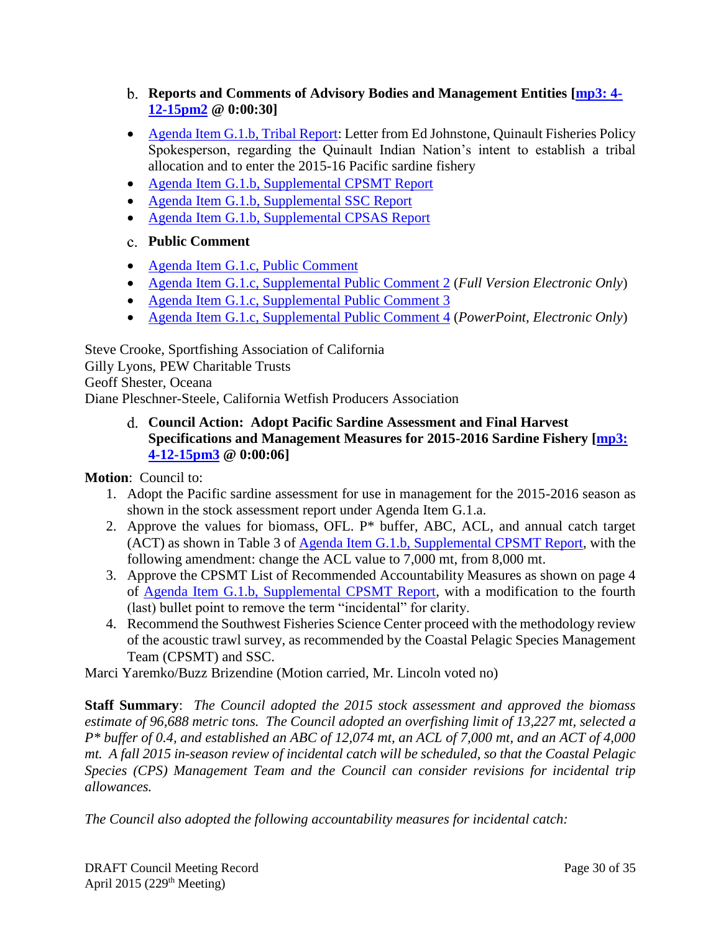- <span id="page-29-0"></span>**Reports and Comments of Advisory Bodies and Management Entities [\[mp3: 4-](ftp://ftp.pcouncil.org/pub/R1504_April_2015_Recordings/4-12-15pm2Copy.mp3) [12-15pm2](ftp://ftp.pcouncil.org/pub/R1504_April_2015_Recordings/4-12-15pm2Copy.mp3) @ 0:00:30]**
- [Agenda Item G.1.b, Tribal Report:](http://www.pcouncil.org/wp-content/uploads/2015/03/G1b_Tribal-Report_Quinault-Sardine-request.pdf) Letter from Ed Johnstone, Quinault Fisheries Policy Spokesperson, regarding the Quinault Indian Nation's intent to establish a tribal allocation and to enter the 2015-16 Pacific sardine fishery
- [Agenda Item G.1.b, Supplemental CPSMT Report](http://www.pcouncil.org/wp-content/uploads/2015/04/G1b_SupCPSMT_Rpt_APR2015BB.pdf)
- [Agenda Item G.1.b, Supplemental SSC Report](http://www.pcouncil.org/wp-content/uploads/2015/04/G1b_SupSSC_Rpt_APR2015BB.pdf)
- [Agenda Item G.1.b, Supplemental CPSAS Report](http://www.pcouncil.org/wp-content/uploads/2015/04/G1b_SupCPSAS_Rpt_APR2015BB.pdf)
- <span id="page-29-1"></span>**Public Comment**
- [Agenda Item G.1.c, Public Comment](http://www.pcouncil.org/wp-content/uploads/2015/03/G1c_Public_Comment.pdf)
- [Agenda Item G.1.c, Supplemental Public Comment 2](http://www.pcouncil.org/wp-content/uploads/2015/04/G1c_SupPubCom2_FullElectronicOnly_APR2015BB.pdf) (*Full Version Electronic Only*)
- [Agenda Item G.1.c, Supplemental Public Comment 3](http://www.pcouncil.org/wp-content/uploads/2015/04/G1c_SupPubCom3_APR2015BB.pdf)
- [Agenda Item G.1.c, Supplemental Public Comment 4](http://www.pcouncil.org/wp-content/uploads/2015/04/G1c_SupPubCom4_eOnly_APR2015BB.pdf) (*PowerPoint, Electronic Only*)

Steve Crooke, Sportfishing Association of California Gilly Lyons, PEW Charitable Trusts Geoff Shester, Oceana Diane Pleschner-Steele, California Wetfish Producers Association

> <span id="page-29-2"></span>**Council Action: Adopt Pacific Sardine Assessment and Final Harvest Specifications and Management Measures for 2015-2016 Sardine Fishery [\[mp3:](ftp://ftp.pcouncil.org/pub/R1504_April_2015_Recordings/4-12-15pm3Copy.mp3)  [4-12-15pm3](ftp://ftp.pcouncil.org/pub/R1504_April_2015_Recordings/4-12-15pm3Copy.mp3) @ 0:00:06]**

**Motion**: Council to:

- 1. Adopt the Pacific sardine assessment for use in management for the 2015-2016 season as shown in the stock assessment report under Agenda Item G.1.a.
- 2. Approve the values for biomass, OFL. P\* buffer, ABC, ACL, and annual catch target (ACT) as shown in Table 3 of [Agenda Item G.1.b, Supplemental CPSMT Report,](http://www.pcouncil.org/wp-content/uploads/2015/04/G1b_SupCPSMT_Rpt_APR2015BB.pdf) with the following amendment: change the ACL value to 7,000 mt, from 8,000 mt.
- 3. Approve the CPSMT List of Recommended Accountability Measures as shown on page 4 of [Agenda Item G.1.b, Supplemental CPSMT Report,](http://www.pcouncil.org/wp-content/uploads/2015/04/G1b_SupCPSMT_Rpt_APR2015BB.pdf) with a modification to the fourth (last) bullet point to remove the term "incidental" for clarity.
- 4. Recommend the Southwest Fisheries Science Center proceed with the methodology review of the acoustic trawl survey, as recommended by the Coastal Pelagic Species Management Team (CPSMT) and SSC.

Marci Yaremko/Buzz Brizendine (Motion carried, Mr. Lincoln voted no)

**Staff Summary**: *The Council adopted the 2015 stock assessment and approved the biomass estimate of 96,688 metric tons. The Council adopted an overfishing limit of 13,227 mt, selected a P\* buffer of 0.4, and established an ABC of 12,074 mt, an ACL of 7,000 mt, and an ACT of 4,000 mt. A fall 2015 in-season review of incidental catch will be scheduled, so that the Coastal Pelagic Species (CPS) Management Team and the Council can consider revisions for incidental trip allowances.*

*The Council also adopted the following accountability measures for incidental catch:*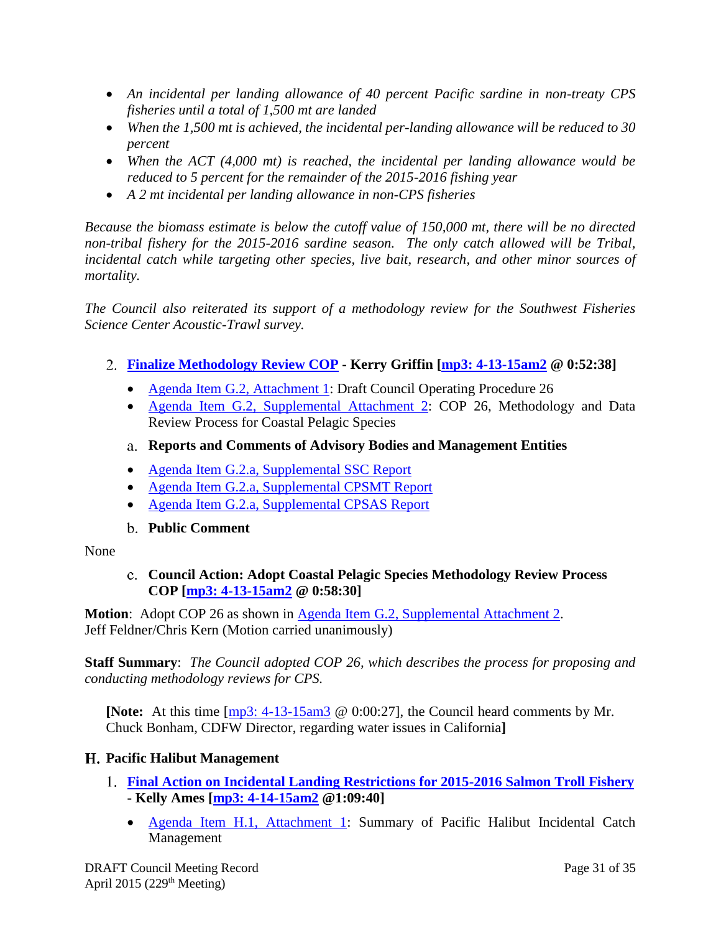- *An incidental per landing allowance of 40 percent Pacific sardine in non-treaty CPS fisheries until a total of 1,500 mt are landed*
- *When the 1,500 mt is achieved, the incidental per-landing allowance will be reduced to 30 percent*
- *When the ACT (4,000 mt) is reached, the incidental per landing allowance would be reduced to 5 percent for the remainder of the 2015-2016 fishing year*
- *A 2 mt incidental per landing allowance in non-CPS fisheries*

*Because the biomass estimate is below the cutoff value of 150,000 mt, there will be no directed non-tribal fishery for the 2015-2016 sardine season. The only catch allowed will be Tribal, incidental catch while targeting other species, live bait, research, and other minor sources of mortality.* 

*The Council also reiterated its support of a methodology review for the Southwest Fisheries Science Center Acoustic-Trawl survey.*

# <span id="page-30-0"></span>**[Finalize Methodology Review COP](http://www.pcouncil.org/wp-content/uploads/2015/03/G2_Sitsum_CPS_COP26_APR2015BB.pdf) - Kerry Griffin [\[mp3: 4-13-15am2](ftp://ftp.pcouncil.org/pub/R1504_April_2015_Recordings/4-13-15am2Copy.mp3) @ 0:52:38]**

- [Agenda Item G.2, Attachment 1:](http://www.pcouncil.org/wp-content/uploads/2015/03/G2_Att1_CPS_MethReviewCOP26_APR2015BB.pdf) Draft Council Operating Procedure 26
- [Agenda Item G.2, Supplemental Attachment 2:](http://www.pcouncil.org/wp-content/uploads/2015/04/G2_Sup_Att2_COP26_APR2015BB.pdf) COP 26, Methodology and Data Review Process for Coastal Pelagic Species
- <span id="page-30-1"></span>**Reports and Comments of Advisory Bodies and Management Entities**
- [Agenda Item G.2.a, Supplemental SSC Report](http://www.pcouncil.org/wp-content/uploads/2015/04/G2a_SupSSC_Rpt_APR2015BB.pdf)
- [Agenda Item G.2.a, Supplemental CPSMT Report](http://www.pcouncil.org/wp-content/uploads/2015/04/G2a_SupCPSMT_Rpt_APR2015BB.pdf)
- [Agenda Item G.2.a, Supplemental CPSAS Report](http://www.pcouncil.org/wp-content/uploads/2015/04/G2a_SupCPSAS_Rpt_APR2015BB.pdf)

# **Public Comment**

#### <span id="page-30-3"></span><span id="page-30-2"></span>None

**Council Action: Adopt Coastal Pelagic Species Methodology Review Process COP [\[mp3: 4-13-15am2](ftp://ftp.pcouncil.org/pub/R1504_April_2015_Recordings/4-13-15am2Copy.mp3) @ 0:58:30]**

**Motion:** Adopt COP 26 as shown in [Agenda Item G.2, Supplemental Attachment 2.](http://www.pcouncil.org/wp-content/uploads/2015/04/G2_Sup_Att2_COP26_APR2015BB.pdf) Jeff Feldner/Chris Kern (Motion carried unanimously)

**Staff Summary**: *The Council adopted COP 26, which describes the process for proposing and conducting methodology reviews for CPS.*

**[Note:** At this time [\[mp3: 4-13-15am3](ftp://ftp.pcouncil.org/pub/R1504_April_2015_Recordings/4-13-15am3Copy.mp3) @ 0:00:27], the Council heard comments by Mr. Chuck Bonham, CDFW Director, regarding water issues in California**]**

# <span id="page-30-4"></span>**Pacific Halibut Management**

- <span id="page-30-5"></span>**[Final Action on Incidental Landing Restrictions for 2015-2016 Salmon Troll Fishery](http://www.pcouncil.org/wp-content/uploads/2015/03/H1_SitSum_-Hal_Regs_APR2015BB.pdf) - Kelly Ames [\[mp3: 4-14-15am2](ftp://ftp.pcouncil.org/pub/R1504_April_2015_Recordings/4-14-15am2Copy.mp3) @1:09:40]**
	- [Agenda Item H.1, Attachment 1:](http://www.pcouncil.org/wp-content/uploads/2015/03/H1_Att1_History_APR2015BB.pdf) Summary of Pacific Halibut Incidental Catch Management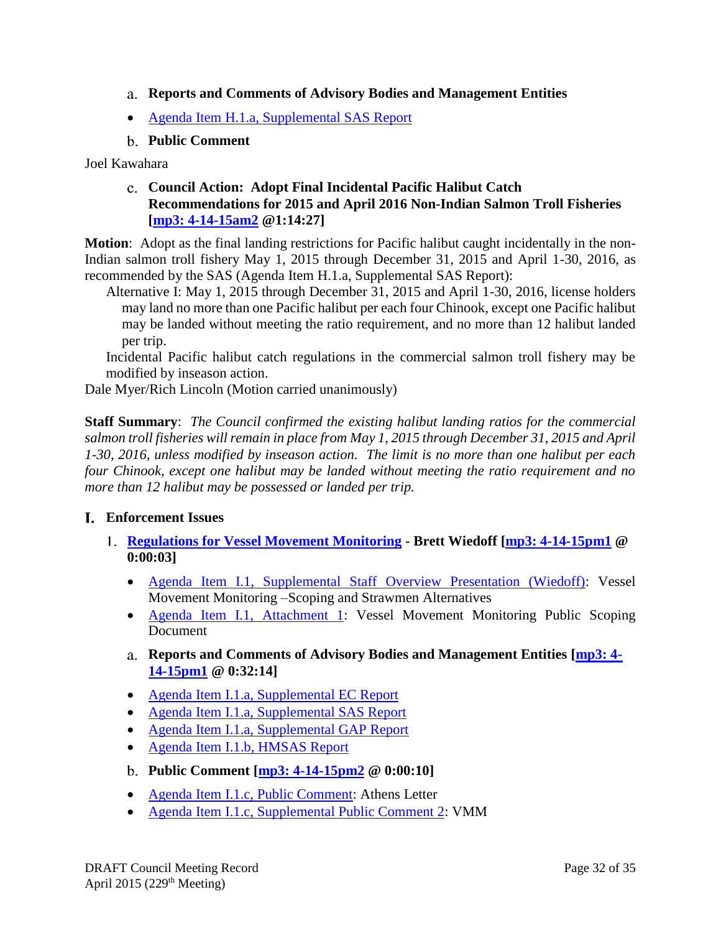- <span id="page-31-0"></span>**Reports and Comments of Advisory Bodies and Management Entities**
- [Agenda Item H.1.a, Supplemental SAS Report](http://www.pcouncil.org/wp-content/uploads/2015/04/H1a_SupSAS_Rpt_APR2015BB.pdf)
- **Public Comment**

<span id="page-31-2"></span><span id="page-31-1"></span>Joel Kawahara

**Council Action: Adopt Final Incidental Pacific Halibut Catch Recommendations for 2015 and April 2016 Non-Indian Salmon Troll Fisheries [\[mp3: 4-14-15am2](ftp://ftp.pcouncil.org/pub/R1504_April_2015_Recordings/4-14-15am2Copy.mp3) @1:14:27]**

**Motion**: Adopt as the final landing restrictions for Pacific halibut caught incidentally in the non-Indian salmon troll fishery May 1, 2015 through December 31, 2015 and April 1-30, 2016, as recommended by the SAS (Agenda Item H.1.a, Supplemental SAS Report):

Alternative I: May 1, 2015 through December 31, 2015 and April 1-30, 2016, license holders may land no more than one Pacific halibut per each four Chinook, except one Pacific halibut may be landed without meeting the ratio requirement, and no more than 12 halibut landed per trip.

Incidental Pacific halibut catch regulations in the commercial salmon troll fishery may be modified by inseason action.

Dale Myer/Rich Lincoln (Motion carried unanimously)

**Staff Summary**: *The Council confirmed the existing halibut landing ratios for the commercial salmon troll fisheries will remain in place from May 1, 2015 through December 31, 2015 and April 1-30, 2016, unless modified by inseason action. The limit is no more than one halibut per each four Chinook, except one halibut may be landed without meeting the ratio requirement and no more than 12 halibut may be possessed or landed per trip.*

#### <span id="page-31-3"></span>**Enforcement Issues**

- <span id="page-31-6"></span><span id="page-31-5"></span><span id="page-31-4"></span>**[Regulations for Vessel Movement Monitoring](http://www.pcouncil.org/wp-content/uploads/2015/03/I1_SitSum_VMM_APR2015BB.pdf) - Brett Wiedoff [\[mp3: 4-14-15pm1](ftp://ftp.pcouncil.org/pub/R1504_April_2015_Recordings/4-14-15pm1Copy.mp3) @ 0:00:03]**
	- [Agenda Item I.1, Supplemental Staff Overview Presentation \(Wiedoff\):](http://www.pcouncil.org/wp-content/uploads/2015/04/I1_SupStaffPPTOverview_Wiedoff_APR2015BB.pdf) Vessel Movement Monitoring –Scoping and Strawmen Alternatives
	- [Agenda Item I.1, Attachment 1:](http://www.pcouncil.org/wp-content/uploads/2015/03/I1a_VMM_ScopingDoc_APR2015BB.pdf) Vessel Movement Monitoring Public Scoping Document
	- **Reports and Comments of Advisory Bodies and Management Entities [\[mp3: 4-](ftp://ftp.pcouncil.org/pub/R1504_April_2015_Recordings/4-14-15pm1Copy.mp3) [14-15pm1](ftp://ftp.pcouncil.org/pub/R1504_April_2015_Recordings/4-14-15pm1Copy.mp3) @ 0:32:14]**
	- [Agenda Item I.1.a, Supplemental EC Report](http://www.pcouncil.org/wp-content/uploads/2015/04/I1a_SupEC_Rpt_APR2015BB.pdf)
	- [Agenda Item I.1.a, Supplemental SAS Report](http://www.pcouncil.org/wp-content/uploads/2015/04/I1a_SupSAS_Rpt_APR2015BB.pdf)
	- [Agenda Item I.1.a, Supplemental GAP Report](http://www.pcouncil.org/wp-content/uploads/2015/04/I1a_SupGAP_Rpt_APR2015BB.pdf)
	- [Agenda Item I.1.b, HMSAS Report](http://www.pcouncil.org/wp-content/uploads/2015/03/I1b_HMSAS_Rpt_APR2015BB.pdf)
	- **Public Comment [\[mp3: 4-14-15pm2](ftp://ftp.pcouncil.org/pub/R1504_April_2015_Recordings/4-14-15pm2Copy.mp3) @ 0:00:10]**
	- [Agenda Item I.1.c, Public Comment:](http://www.pcouncil.org/wp-content/uploads/2015/03/I1c_PubCom_VMS_Athens_APR2015BB.pdf) Athens Letter
	- [Agenda Item I.1.c, Supplemental Public Comment 2:](http://www.pcouncil.org/wp-content/uploads/2015/04/I1c_SupPubCom2_VMM_APR2015BB.pdf) VMM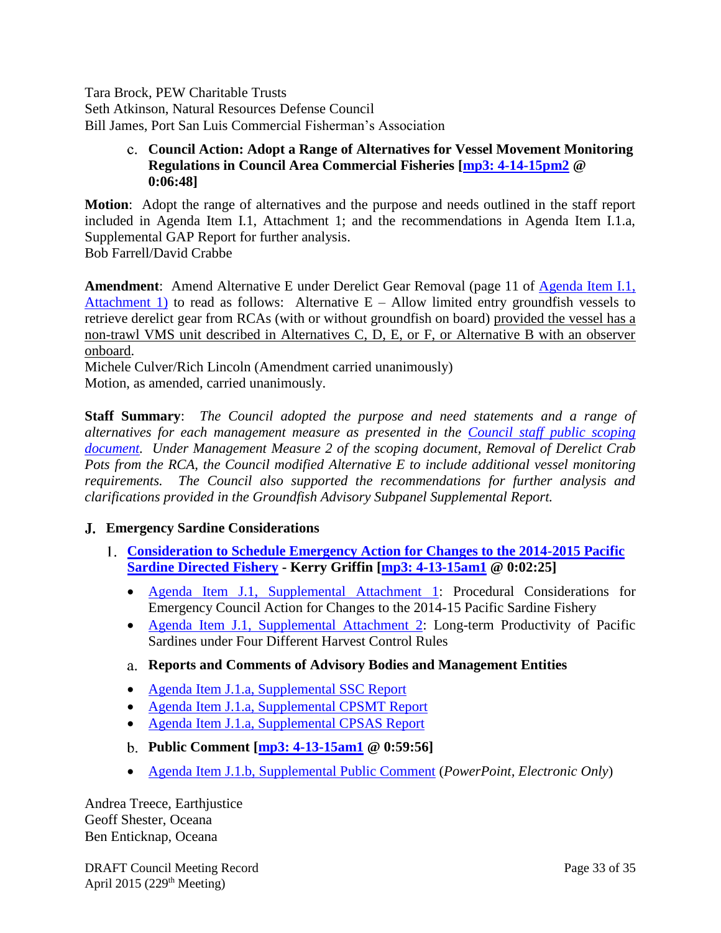Tara Brock, PEW Charitable Trusts Seth Atkinson, Natural Resources Defense Council Bill James, Port San Luis Commercial Fisherman's Association

# <span id="page-32-0"></span>**Council Action: Adopt a Range of Alternatives for Vessel Movement Monitoring Regulations in Council Area Commercial Fisheries [\[mp3: 4-14-15pm2](ftp://ftp.pcouncil.org/pub/R1504_April_2015_Recordings/4-14-15pm2Copy.mp3) @ 0:06:48]**

**Motion**: Adopt the range of alternatives and the purpose and needs outlined in the staff report included in Agenda Item I.1, Attachment 1; and the recommendations in Agenda Item I.1.a, Supplemental GAP Report for further analysis. Bob Farrell/David Crabbe

**Amendment**: Amend Alternative E under Derelict Gear Removal (page 11 of [Agenda Item I.1,](http://www.pcouncil.org/wp-content/uploads/2015/03/I1a_VMM_ScopingDoc_APR2015BB.pdf)  [Attachment 1\)](http://www.pcouncil.org/wp-content/uploads/2015/03/I1a_VMM_ScopingDoc_APR2015BB.pdf) to read as follows: Alternative  $E -$  Allow limited entry groundfish vessels to retrieve derelict gear from RCAs (with or without groundfish on board) provided the vessel has a non-trawl VMS unit described in Alternatives C, D, E, or F, or Alternative B with an observer onboard.

Michele Culver/Rich Lincoln (Amendment carried unanimously) Motion, as amended, carried unanimously.

**Staff Summary**: *The Council adopted the purpose and need statements and a range of alternatives for each management measure as presented in the [Council staff public scoping](http://www.pcouncil.org/wp-content/uploads/2015/03/I1a_VMM_ScopingDoc_APR2015BB.pdf)  [document.](http://www.pcouncil.org/wp-content/uploads/2015/03/I1a_VMM_ScopingDoc_APR2015BB.pdf) Under Management Measure 2 of the scoping document, Removal of Derelict Crab Pots from the RCA, the Council modified Alternative E to include additional vessel monitoring requirements. The Council also supported the recommendations for further analysis and clarifications provided in the Groundfish Advisory Subpanel Supplemental Report.*

# <span id="page-32-1"></span>**Emergency Sardine Considerations**

- <span id="page-32-3"></span><span id="page-32-2"></span>**[Consideration to Schedule Emergency Action for Changes to the 2014-2015 Pacific](http://www.pcouncil.org/wp-content/uploads/2015/04/J1_SupSitsum_ConsiderSardine_APR2015BB.pdf)  [Sardine Directed Fishery](http://www.pcouncil.org/wp-content/uploads/2015/04/J1_SupSitsum_ConsiderSardine_APR2015BB.pdf) - Kerry Griffin [\[mp3: 4-13-15am1](ftp://ftp.pcouncil.org/pub/R1504_April_2015_Recordings/4-13-15am1Copy.mp3) @ 0:02:25]**
	- [Agenda Item J.1, Supplemental Attachment 1:](http://www.pcouncil.org/wp-content/uploads/2015/04/J1_SupAtt1_ProcedureSardine_APR2015BB.pdf) Procedural Considerations for Emergency Council Action for Changes to the 2014-15 Pacific Sardine Fishery
	- [Agenda Item J.1, Supplemental Attachment 2:](http://www.pcouncil.org/wp-content/uploads/2015/04/J1_SupAtt2_Graphs_APR2015BB.pdf) Long-term Productivity of Pacific Sardines under Four Different Harvest Control Rules
	- **Reports and Comments of Advisory Bodies and Management Entities**
	- [Agenda Item J.1.a, Supplemental SSC Report](http://www.pcouncil.org/wp-content/uploads/2015/04/J1a_SupSSC_Rpt_APR2015BB.pdf)
	- [Agenda Item J.1.a, Supplemental CPSMT Report](http://www.pcouncil.org/wp-content/uploads/2015/04/J1a_SupCPSMT_Rpt_APR2015BB.pdf)
	- [Agenda Item J.1.a, Supplemental CPSAS Report](http://www.pcouncil.org/wp-content/uploads/2015/04/J1a_SupCPSAS_Rpt_APR2015BB.pdf)
	- **Public Comment [mp3: [4-13-15am1](ftp://ftp.pcouncil.org/pub/R1504_April_2015_Recordings/4-13-15am1Copy.mp3) @ 0:59:56]**
	- [Agenda Item J.1.b, Supplemental Public Comment](http://www.pcouncil.org/wp-content/uploads/2015/04/J1b_SupPubCom_eOnly_APR2015BB.pdf) (*PowerPoint, Electronic Only*)

<span id="page-32-4"></span>Andrea Treece, Earthjustice Geoff Shester, Oceana Ben Enticknap, Oceana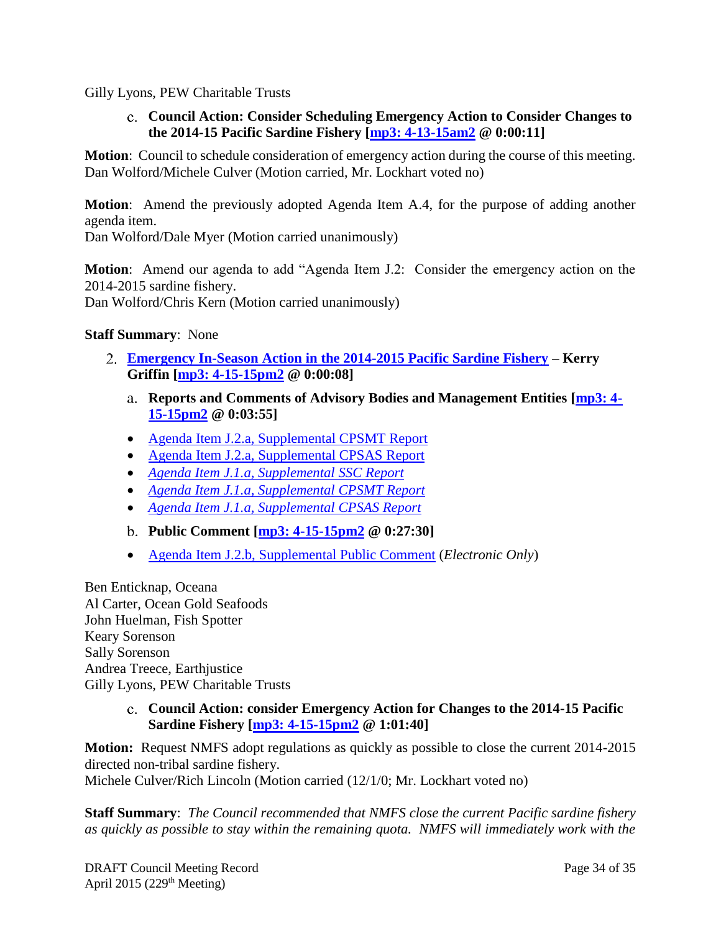<span id="page-33-0"></span>Gilly Lyons, PEW Charitable Trusts

**Council Action: Consider Scheduling Emergency Action to Consider Changes to the 2014-15 Pacific Sardine Fishery [mp3: [4-13-15am2](ftp://ftp.pcouncil.org/pub/R1504_April_2015_Recordings/4-13-15am2Copy.mp3) @ 0:00:11]**

**Motion**: Council to schedule consideration of emergency action during the course of this meeting. Dan Wolford/Michele Culver (Motion carried, Mr. Lockhart voted no)

**Motion**: Amend the previously adopted Agenda Item A.4, for the purpose of adding another agenda item.

Dan Wolford/Dale Myer (Motion carried unanimously)

**Motion**: Amend our agenda to add "Agenda Item J.2: Consider the emergency action on the 2014-2015 sardine fishery.

Dan Wolford/Chris Kern (Motion carried unanimously)

#### **Staff Summary**: None

- <span id="page-33-2"></span><span id="page-33-1"></span>**[Emergency In-Season Action in the 2014-2015 Pacific Sardine Fishery](http://www.pcouncil.org/wp-content/uploads/2015/04/J2_SupSitsum_EmergencySardine_APR2015BB.pdf) – Kerry Griffin [mp3: [4-15-15pm2](ftp://ftp.pcouncil.org/pub/R1504_April_2015_Recordings/4-15-15pm2Copy.mp3) @ 0:00:08]**
	- **Reports and Comments of Advisory Bodies and Management Entities [\[mp3:](ftp://ftp.pcouncil.org/pub/R1504_April_2015_Recordings/4-15-15pm2Copy.mp3) 4- [15-15pm2](ftp://ftp.pcouncil.org/pub/R1504_April_2015_Recordings/4-15-15pm2Copy.mp3) @ 0:03:55]**
	- [Agenda Item J.2.a, Supplemental CPSMT Report](http://www.pcouncil.org/wp-content/uploads/2015/04/J2a_SupCPSMT_Rpt_APR2015BB.pdf)
	- [Agenda Item J.2.a, Supplemental CPSAS Report](http://www.pcouncil.org/wp-content/uploads/2015/04/J2a_SupCPSAS_Rpt_APR2015BB.pdf)
	- *[Agenda Item J.1.a, Supplemental SSC Report](http://www.pcouncil.org/wp-content/uploads/2015/04/J1a_SupSSC_Rpt_APR2015BB.pdf)*
	- *[Agenda Item J.1.a, Supplemental CPSMT Report](http://www.pcouncil.org/wp-content/uploads/2015/04/J1a_SupCPSMT_Rpt_APR2015BB.pdf)*
	- *[Agenda Item J.1.a, Supplemental CPSAS Report](http://www.pcouncil.org/wp-content/uploads/2015/04/J1a_SupCPSAS_Rpt_APR2015BB.pdf)*
	- **Public Comment [mp3: [4-15-15pm2](ftp://ftp.pcouncil.org/pub/R1504_April_2015_Recordings/4-15-15pm2Copy.mp3) @ 0:27:30]**
	- [Agenda Item J.2.b, Supplemental Public Comment](http://www.pcouncil.org/wp-content/uploads/2015/04/J2b_SupPubCom_eOnly_APR2015BB.pdf) (*Electronic Only*)

<span id="page-33-3"></span>Ben Enticknap, Oceana Al Carter, Ocean Gold Seafoods John Huelman, Fish Spotter Keary Sorenson Sally Sorenson Andrea Treece, Earthjustice Gilly Lyons, PEW Charitable Trusts

> <span id="page-33-4"></span>**Council Action: consider Emergency Action for Changes to the 2014-15 Pacific Sardine Fishery [mp3: [4-15-15pm2](ftp://ftp.pcouncil.org/pub/R1504_April_2015_Recordings/4-15-15pm2Copy.mp3) @ 1:01:40]**

**Motion:** Request NMFS adopt regulations as quickly as possible to close the current 2014-2015 directed non-tribal sardine fishery.

Michele Culver/Rich Lincoln (Motion carried (12/1/0; Mr. Lockhart voted no)

**Staff Summary**: *The Council recommended that NMFS close the current Pacific sardine fishery as quickly as possible to stay within the remaining quota. NMFS will immediately work with the*